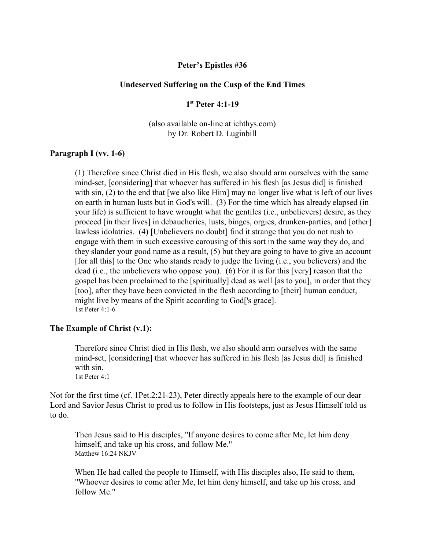#### **Peter's Epistles #36**

#### **Undeserved Suffering on the Cusp of the End Times**

**1 st Peter 4:1-19**

(also available on-line at ichthys.com) by Dr. Robert D. Luginbill

#### **Paragraph I (vv. 1-6)**

(1) Therefore since Christ died in His flesh, we also should arm ourselves with the same mind-set, [considering] that whoever has suffered in his flesh [as Jesus did] is finished with sin, (2) to the end that [we also like Him] may no longer live what is left of our lives on earth in human lusts but in God's will. (3) For the time which has already elapsed (in your life) is sufficient to have wrought what the gentiles (i.e., unbelievers) desire, as they proceed [in their lives] in debaucheries, lusts, binges, orgies, drunken-parties, and [other] lawless idolatries. (4) [Unbelievers no doubt] find it strange that you do not rush to engage with them in such excessive carousing of this sort in the same way they do, and they slander your good name as a result, (5) but they are going to have to give an account [for all this] to the One who stands ready to judge the living (i.e., you believers) and the dead (i.e., the unbelievers who oppose you). (6) For it is for this [very] reason that the gospel has been proclaimed to the [spiritually] dead as well [as to you], in order that they [too], after they have been convicted in the flesh according to [their] human conduct, might live by means of the Spirit according to God['s grace]. 1st Peter 4:1-6

#### **The Example of Christ (v.1):**

Therefore since Christ died in His flesh, we also should arm ourselves with the same mind-set, [considering] that whoever has suffered in his flesh [as Jesus did] is finished with sin. 1st Peter 4:1

Not for the first time (cf. 1Pet.2:21-23), Peter directly appeals here to the example of our dear Lord and Savior Jesus Christ to prod us to follow in His footsteps, just as Jesus Himself told us to do.

Then Jesus said to His disciples, "If anyone desires to come after Me, let him deny himself, and take up his cross, and follow Me." Matthew 16:24 NKJV

When He had called the people to Himself, with His disciples also, He said to them, "Whoever desires to come after Me, let him deny himself, and take up his cross, and follow Me."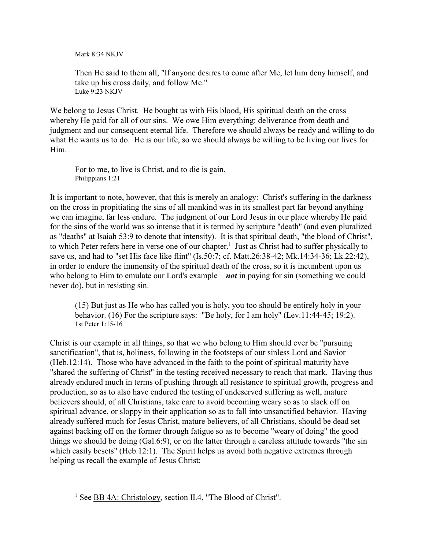Mark 8:34 NK IV

Then He said to them all, "If anyone desires to come after Me, let him deny himself, and take up his cross daily, and follow Me." Luke 9:23 NKJV

We belong to Jesus Christ. He bought us with His blood, His spiritual death on the cross whereby He paid for all of our sins. We owe Him everything: deliverance from death and judgment and our consequent eternal life. Therefore we should always be ready and willing to do what He wants us to do. He is our life, so we should always be willing to be living our lives for Him.

For to me, to live is Christ, and to die is gain. Philippians 1:21

It is important to note, however, that this is merely an analogy: Christ's suffering in the darkness on the cross in propitiating the sins of all mankind was in its smallest part far beyond anything we can imagine, far less endure. The judgment of our Lord Jesus in our place whereby He paid for the sins of the world was so intense that it is termed by scripture "death" (and even pluralized as "deaths" at Isaiah 53:9 to denote that intensity). It is that spiritual death, "the blood of Christ", to which Peter refers here in verse one of our chapter.<sup>1</sup> Just as Christ had to suffer physically to save us, and had to "set His face like flint" (Is.50:7; cf. Matt.26:38-42; Mk.14:34-36; Lk.22:42), in order to endure the immensity of the spiritual death of the cross, so it is incumbent upon us who belong to Him to emulate our Lord's example – *not* in paying for sin (something we could never do), but in resisting sin.

(15) But just as He who has called you is holy, you too should be entirely holy in your behavior. (16) For the scripture says: "Be holy, for I am holy" (Lev.11:44-45; 19:2). 1st Peter 1:15-16

Christ is our example in all things, so that we who belong to Him should ever be "pursuing sanctification", that is, holiness, following in the footsteps of our sinless Lord and Savior (Heb.12:14). Those who have advanced in the faith to the point of spiritual maturity have "shared the suffering of Christ" in the testing received necessary to reach that mark. Having thus already endured much in terms of pushing through all resistance to spiritual growth, progress and production, so as to also have endured the testing of undeserved suffering as well, mature believers should, of all Christians, take care to avoid becoming weary so as to slack off on spiritual advance, or sloppy in their application so as to fall into unsanctified behavior. Having already suffered much for Jesus Christ, mature believers, of all Christians, should be dead set against backing off on the former through fatigue so as to become "weary of doing" the good things we should be doing (Gal.6:9), or on the latter through a careless attitude towards "the sin which easily besets" (Heb.12:1). The Spirit helps us avoid both negative extremes through helping us recall the example of Jesus Christ:

<sup>&</sup>lt;sup>1</sup> See **BB 4A: Christology**, section II.4, "The Blood of Christ".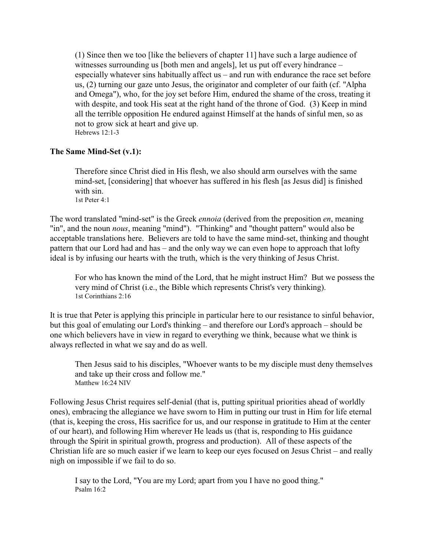(1) Since then we too [like the believers of chapter 11] have such a large audience of witnesses surrounding us [both men and angels], let us put off every hindrance – especially whatever sins habitually affect us – and run with endurance the race set before us, (2) turning our gaze unto Jesus, the originator and completer of our faith (cf. "Alpha and Omega"), who, for the joy set before Him, endured the shame of the cross, treating it with despite, and took His seat at the right hand of the throne of God. (3) Keep in mind all the terrible opposition He endured against Himself at the hands of sinful men, so as not to grow sick at heart and give up. Hebrews 12:1-3

### **The Same Mind-Set (v.1):**

Therefore since Christ died in His flesh, we also should arm ourselves with the same mind-set, [considering] that whoever has suffered in his flesh [as Jesus did] is finished with sin. 1st Peter 4:1

The word translated "mind-set" is the Greek *ennoia* (derived from the preposition *en*, meaning "in", and the noun *nous*, meaning "mind"). "Thinking" and "thought pattern" would also be acceptable translations here. Believers are told to have the same mind-set, thinking and thought pattern that our Lord had and has – and the only way we can even hope to approach that lofty ideal is by infusing our hearts with the truth, which is the very thinking of Jesus Christ.

For who has known the mind of the Lord, that he might instruct Him? But we possess the very mind of Christ (i.e., the Bible which represents Christ's very thinking). 1st Corinthians 2:16

It is true that Peter is applying this principle in particular here to our resistance to sinful behavior, but this goal of emulating our Lord's thinking – and therefore our Lord's approach – should be one which believers have in view in regard to everything we think, because what we think is always reflected in what we say and do as well.

Then Jesus said to his disciples, "Whoever wants to be my disciple must deny themselves and take up their cross and follow me." Matthew 16:24 NIV

Following Jesus Christ requires self-denial (that is, putting spiritual priorities ahead of worldly ones), embracing the allegiance we have sworn to Him in putting our trust in Him for life eternal (that is, keeping the cross, His sacrifice for us, and our response in gratitude to Him at the center of our heart), and following Him wherever He leads us (that is, responding to His guidance through the Spirit in spiritual growth, progress and production). All of these aspects of the Christian life are so much easier if we learn to keep our eyes focused on Jesus Christ – and really nigh on impossible if we fail to do so.

I say to the Lord, "You are my Lord; apart from you I have no good thing." Psalm 16:2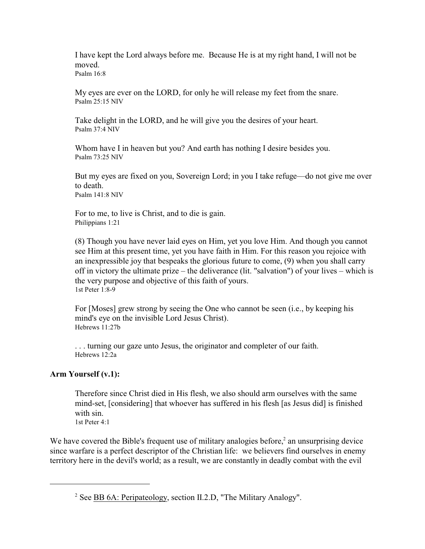I have kept the Lord always before me. Because He is at my right hand, I will not be moved. Psalm 16:8

My eyes are ever on the LORD, for only he will release my feet from the snare. Psalm 25:15 NIV

Take delight in the LORD, and he will give you the desires of your heart. Psalm 37:4 NIV

Whom have I in heaven but you? And earth has nothing I desire besides you. Psalm 73:25 NIV

But my eyes are fixed on you, Sovereign Lord; in you I take refuge—do not give me over to death. Psalm 141:8 NIV

For to me, to live is Christ, and to die is gain. Philippians 1:21

(8) Though you have never laid eyes on Him, yet you love Him. And though you cannot see Him at this present time, yet you have faith in Him. For this reason you rejoice with an inexpressible joy that bespeaks the glorious future to come, (9) when you shall carry off in victory the ultimate prize – the deliverance (lit. "salvation") of your lives – which is the very purpose and objective of this faith of yours. 1st Peter 1:8-9

For [Moses] grew strong by seeing the One who cannot be seen (i.e., by keeping his mind's eye on the invisible Lord Jesus Christ). Hebrews 11:27b

. . . turning our gaze unto Jesus, the originator and completer of our faith. Hebrews 12:2a

### **Arm Yourself (v.1):**

Therefore since Christ died in His flesh, we also should arm ourselves with the same mind-set, [considering] that whoever has suffered in his flesh [as Jesus did] is finished with sin. 1st Peter 4:1

We have covered the Bible's frequent use of military analogies before, $2$  an unsurprising device since warfare is a perfect descriptor of the Christian life: we believers find ourselves in enemy territory here in the devil's world; as a result, we are constantly in deadly combat with the evil

<sup>&</sup>lt;sup>2</sup> See **BB 6A: Peripateology**, section II.2.D, "The Military Analogy".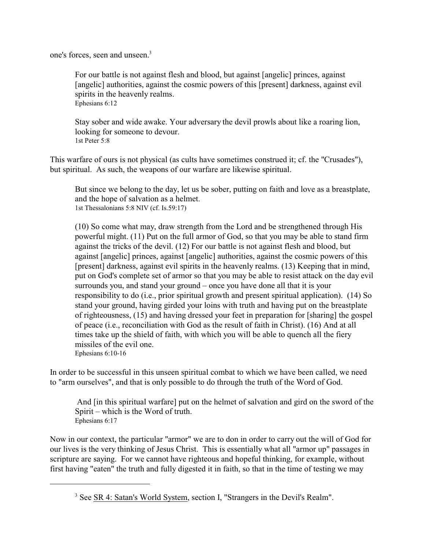one's forces, seen and unseen.<sup>3</sup>

For our battle is not against flesh and blood, but against [angelic] princes, against [angelic] authorities, against the cosmic powers of this [present] darkness, against evil spirits in the heavenly realms. Ephesians 6:12

Stay sober and wide awake. Your adversary the devil prowls about like a roaring lion, looking for someone to devour. 1st Peter 5:8

This warfare of ours is not physical (as cults have sometimes construed it; cf. the "Crusades"), but spiritual. As such, the weapons of our warfare are likewise spiritual.

But since we belong to the day, let us be sober, putting on faith and love as a breastplate, and the hope of salvation as a helmet. 1st Thessalonians 5:8 NIV (cf. Is.59:17)

(10) So come what may, draw strength from the Lord and be strengthened through His powerful might. (11) Put on the full armor of God, so that you may be able to stand firm against the tricks of the devil. (12) For our battle is not against flesh and blood, but against [angelic] princes, against [angelic] authorities, against the cosmic powers of this [present] darkness, against evil spirits in the heavenly realms. (13) Keeping that in mind, put on God's complete set of armor so that you may be able to resist attack on the day evil surrounds you, and stand your ground – once you have done all that it is your responsibility to do (i.e., prior spiritual growth and present spiritual application). (14) So stand your ground, having girded your loins with truth and having put on the breastplate of righteousness, (15) and having dressed your feet in preparation for [sharing] the gospel of peace (i.e., reconciliation with God as the result of faith in Christ). (16) And at all times take up the shield of faith, with which you will be able to quench all the fiery missiles of the evil one. Ephesians 6:10-16

In order to be successful in this unseen spiritual combat to which we have been called, we need to "arm ourselves", and that is only possible to do through the truth of the Word of God.

 And [in this spiritual warfare] put on the helmet of salvation and gird on the sword of the Spirit – which is the Word of truth. Ephesians 6:17

Now in our context, the particular "armor" we are to don in order to carry out the will of God for our lives is the very thinking of Jesus Christ. This is essentially what all "armor up" passages in scripture are saying. For we cannot have righteous and hopeful thinking, for example, without first having "eaten" the truth and fully digested it in faith, so that in the time of testing we may

<sup>&</sup>lt;sup>3</sup> See SR 4: Satan's World System, section I, "Strangers in the Devil's Realm".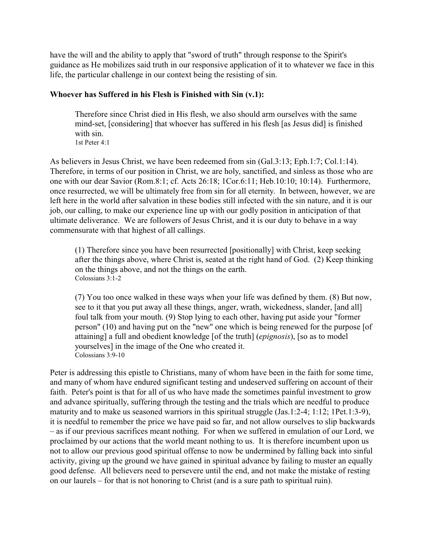have the will and the ability to apply that "sword of truth" through response to the Spirit's guidance as He mobilizes said truth in our responsive application of it to whatever we face in this life, the particular challenge in our context being the resisting of sin.

# **Whoever has Suffered in his Flesh is Finished with Sin (v.1):**

Therefore since Christ died in His flesh, we also should arm ourselves with the same mind-set, [considering] that whoever has suffered in his flesh [as Jesus did] is finished with sin. 1st Peter 4:1

As believers in Jesus Christ, we have been redeemed from sin (Gal.3:13; Eph.1:7; Col.1:14). Therefore, in terms of our position in Christ, we are holy, sanctified, and sinless as those who are one with our dear Savior (Rom.8:1; cf. Acts 26:18; 1Cor.6:11; Heb.10:10; 10:14). Furthermore, once resurrected, we will be ultimately free from sin for all eternity. In between, however, we are left here in the world after salvation in these bodies still infected with the sin nature, and it is our job, our calling, to make our experience line up with our godly position in anticipation of that ultimate deliverance. We are followers of Jesus Christ, and it is our duty to behave in a way commensurate with that highest of all callings.

(1) Therefore since you have been resurrected [positionally] with Christ, keep seeking after the things above, where Christ is, seated at the right hand of God. (2) Keep thinking on the things above, and not the things on the earth. Colossians 3:1-2

(7) You too once walked in these ways when your life was defined by them. (8) But now, see to it that you put away all these things, anger, wrath, wickedness, slander, [and all] foul talk from your mouth. (9) Stop lying to each other, having put aside your "former person" (10) and having put on the "new" one which is being renewed for the purpose [of attaining] a full and obedient knowledge [of the truth] (*epignosis*), [so as to model yourselves] in the image of the One who created it. Colossians 3:9-10

Peter is addressing this epistle to Christians, many of whom have been in the faith for some time, and many of whom have endured significant testing and undeserved suffering on account of their faith. Peter's point is that for all of us who have made the sometimes painful investment to grow and advance spiritually, suffering through the testing and the trials which are needful to produce maturity and to make us seasoned warriors in this spiritual struggle (Jas.1:2-4; 1:12; 1Pet.1:3-9), it is needful to remember the price we have paid so far, and not allow ourselves to slip backwards – as if our previous sacrifices meant nothing. For when we suffered in emulation of our Lord, we proclaimed by our actions that the world meant nothing to us. It is therefore incumbent upon us not to allow our previous good spiritual offense to now be undermined by falling back into sinful activity, giving up the ground we have gained in spiritual advance by failing to muster an equally good defense. All believers need to persevere until the end, and not make the mistake of resting on our laurels – for that is not honoring to Christ (and is a sure path to spiritual ruin).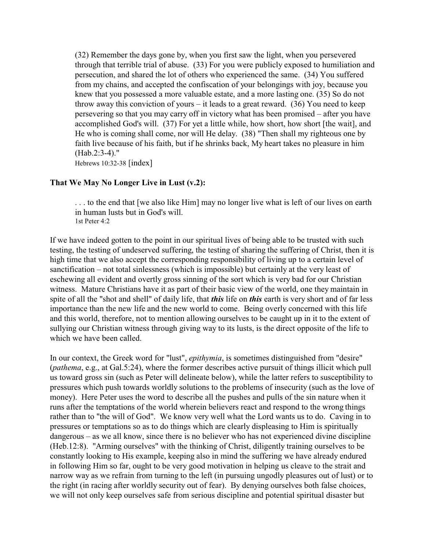(32) Remember the days gone by, when you first saw the light, when you persevered through that terrible trial of abuse. (33) For you were publicly exposed to humiliation and persecution, and shared the lot of others who experienced the same. (34) You suffered from my chains, and accepted the confiscation of your belongings with joy, because you knew that you possessed a more valuable estate, and a more lasting one. (35) So do not throw away this conviction of yours – it leads to a great reward.  $(36)$  You need to keep persevering so that you may carry off in victory what has been promised – after you have accomplished God's will. (37) For yet a little while, how short, how short [the wait], and He who is coming shall come, nor will He delay. (38) "Then shall my righteous one by faith live because of his faith, but if he shrinks back, My heart takes no pleasure in him (Hab.2:3-4)."

Hebrews 10:32-38 [index]

### **That We May No Longer Live in Lust (v.2):**

. . . to the end that [we also like Him] may no longer live what is left of our lives on earth in human lusts but in God's will. 1st Peter 4:2

If we have indeed gotten to the point in our spiritual lives of being able to be trusted with such testing, the testing of undeserved suffering, the testing of sharing the suffering of Christ, then it is high time that we also accept the corresponding responsibility of living up to a certain level of sanctification – not total sinlessness (which is impossible) but certainly at the very least of eschewing all evident and overtly gross sinning of the sort which is very bad for our Christian witness. Mature Christians have it as part of their basic view of the world, one they maintain in spite of all the "shot and shell" of daily life, that *this* life on *this* earth is very short and of far less importance than the new life and the new world to come. Being overly concerned with this life and this world, therefore, not to mention allowing ourselves to be caught up in it to the extent of sullying our Christian witness through giving way to its lusts, is the direct opposite of the life to which we have been called.

In our context, the Greek word for "lust", *epithymia*, is sometimes distinguished from "desire" (*pathema*, e.g., at Gal.5:24), where the former describes active pursuit of things illicit which pull us toward gross sin (such as Peter will delineate below), while the latter refers to susceptibility to pressures which push towards worldly solutions to the problems of insecurity (such as the love of money). Here Peter uses the word to describe all the pushes and pulls of the sin nature when it runs after the temptations of the world wherein believers react and respond to the wrong things rather than to "the will of God". We know very well what the Lord wants us to do. Caving in to pressures or temptations so as to do things which are clearly displeasing to Him is spiritually dangerous – as we all know, since there is no believer who has not experienced divine discipline (Heb.12:8). "Arming ourselves" with the thinking of Christ, diligently training ourselves to be constantly looking to His example, keeping also in mind the suffering we have already endured in following Him so far, ought to be very good motivation in helping us cleave to the strait and narrow way as we refrain from turning to the left (in pursuing ungodly pleasures out of lust) or to the right (in racing after worldly security out of fear). By denying ourselves both false choices, we will not only keep ourselves safe from serious discipline and potential spiritual disaster but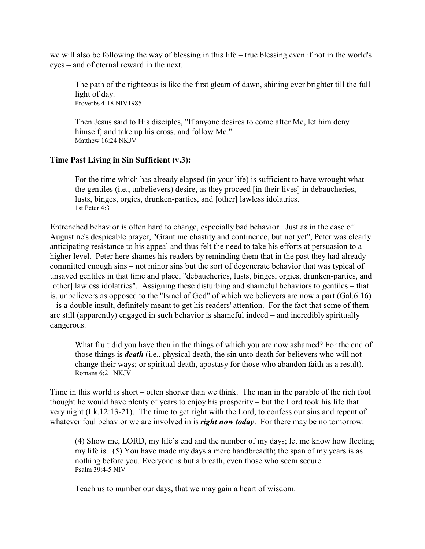we will also be following the way of blessing in this life – true blessing even if not in the world's eyes – and of eternal reward in the next.

The path of the righteous is like the first gleam of dawn, shining ever brighter till the full light of day. Proverbs 4:18 NIV1985

Then Jesus said to His disciples, "If anyone desires to come after Me, let him deny himself, and take up his cross, and follow Me." Matthew 16:24 NKJV

# **Time Past Living in Sin Sufficient (v.3):**

For the time which has already elapsed (in your life) is sufficient to have wrought what the gentiles (i.e., unbelievers) desire, as they proceed [in their lives] in debaucheries, lusts, binges, orgies, drunken-parties, and [other] lawless idolatries. 1st Peter 4:3

Entrenched behavior is often hard to change, especially bad behavior. Just as in the case of Augustine's despicable prayer, "Grant me chastity and continence, but not yet", Peter was clearly anticipating resistance to his appeal and thus felt the need to take his efforts at persuasion to a higher level. Peter here shames his readers by reminding them that in the past they had already committed enough sins – not minor sins but the sort of degenerate behavior that was typical of unsaved gentiles in that time and place, "debaucheries, lusts, binges, orgies, drunken-parties, and [other] lawless idolatries". Assigning these disturbing and shameful behaviors to gentiles – that is, unbelievers as opposed to the "Israel of God" of which we believers are now a part (Gal.6:16) – is a double insult, definitely meant to get his readers' attention. For the fact that some of them are still (apparently) engaged in such behavior is shameful indeed – and incredibly spiritually dangerous.

What fruit did you have then in the things of which you are now ashamed? For the end of those things is *death* (i.e., physical death, the sin unto death for believers who will not change their ways; or spiritual death, apostasy for those who abandon faith as a result). Romans 6:21 NKJV

Time in this world is short – often shorter than we think. The man in the parable of the rich fool thought he would have plenty of years to enjoy his prosperity – but the Lord took his life that very night (Lk.12:13-21). The time to get right with the Lord, to confess our sins and repent of whatever foul behavior we are involved in is *right now today*. For there may be no tomorrow.

(4) Show me, LORD, my life's end and the number of my days; let me know how fleeting my life is. (5) You have made my days a mere handbreadth; the span of my years is as nothing before you. Everyone is but a breath, even those who seem secure. Psalm 39:4-5 NIV

Teach us to number our days, that we may gain a heart of wisdom.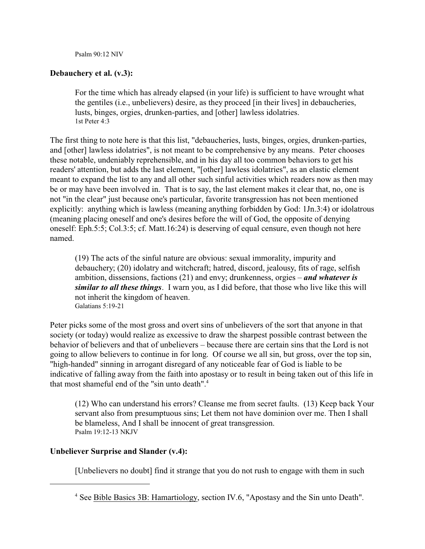Psalm 90:12 NIV

# **Debauchery et al. (v.3):**

For the time which has already elapsed (in your life) is sufficient to have wrought what the gentiles (i.e., unbelievers) desire, as they proceed [in their lives] in debaucheries, lusts, binges, orgies, drunken-parties, and [other] lawless idolatries. 1st Peter 4:3

The first thing to note here is that this list, "debaucheries, lusts, binges, orgies, drunken-parties, and [other] lawless idolatries", is not meant to be comprehensive by any means. Peter chooses these notable, undeniably reprehensible, and in his day all too common behaviors to get his readers' attention, but adds the last element, "[other] lawless idolatries", as an elastic element meant to expand the list to any and all other such sinful activities which readers now as then may be or may have been involved in. That is to say, the last element makes it clear that, no, one is not "in the clear" just because one's particular, favorite transgression has not been mentioned explicitly: anything which is lawless (meaning anything forbidden by God: 1Jn.3:4) or idolatrous (meaning placing oneself and one's desires before the will of God, the opposite of denying oneself: Eph.5:5; Col.3:5; cf. Matt.16:24) is deserving of equal censure, even though not here named.

(19) The acts of the sinful nature are obvious: sexual immorality, impurity and debauchery; (20) idolatry and witchcraft; hatred, discord, jealousy, fits of rage, selfish ambition, dissensions, factions (21) and envy; drunkenness, orgies – *and whatever is similar to all these things*. I warn you, as I did before, that those who live like this will not inherit the kingdom of heaven. Galatians 5:19-21

Peter picks some of the most gross and overt sins of unbelievers of the sort that anyone in that society (or today) would realize as excessive to draw the sharpest possible contrast between the behavior of believers and that of unbelievers – because there are certain sins that the Lord is not going to allow believers to continue in for long. Of course we all sin, but gross, over the top sin, "high-handed" sinning in arrogant disregard of any noticeable fear of God is liable to be indicative of falling away from the faith into apostasy or to result in being taken out of this life in that most shameful end of the "sin unto death". 4

(12) Who can understand his errors? Cleanse me from secret faults. (13) Keep back Your servant also from presumptuous sins; Let them not have dominion over me. Then I shall be blameless, And I shall be innocent of great transgression. Psalm 19:12-13 NKJV

# **Unbeliever Surprise and Slander (v.4):**

[Unbelievers no doubt] find it strange that you do not rush to engage with them in such

<sup>&</sup>lt;sup>4</sup> See Bible Basics 3B: Hamartiology, section IV.6, "Apostasy and the Sin unto Death".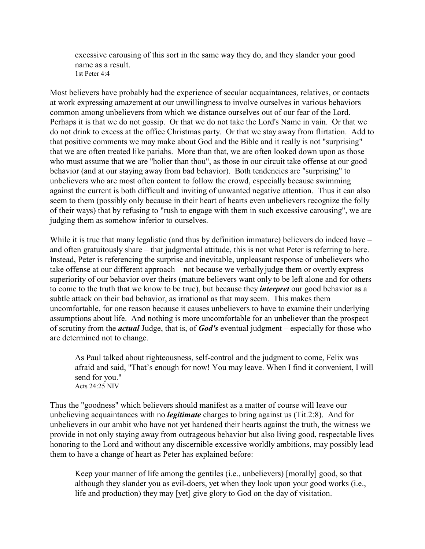excessive carousing of this sort in the same way they do, and they slander your good name as a result. 1st Peter 4:4

Most believers have probably had the experience of secular acquaintances, relatives, or contacts at work expressing amazement at our unwillingness to involve ourselves in various behaviors common among unbelievers from which we distance ourselves out of our fear of the Lord. Perhaps it is that we do not gossip. Or that we do not take the Lord's Name in vain. Or that we do not drink to excess at the office Christmas party. Or that we stay away from flirtation. Add to that positive comments we may make about God and the Bible and it really is not "surprising" that we are often treated like pariahs. More than that, we are often looked down upon as those who must assume that we are "holier than thou", as those in our circuit take offense at our good behavior (and at our staying away from bad behavior). Both tendencies are "surprising" to unbelievers who are most often content to follow the crowd, especially because swimming against the current is both difficult and inviting of unwanted negative attention. Thus it can also seem to them (possibly only because in their heart of hearts even unbelievers recognize the folly of their ways) that by refusing to "rush to engage with them in such excessive carousing", we are judging them as somehow inferior to ourselves.

While it is true that many legalistic (and thus by definition immature) believers do indeed have – and often gratuitously share – that judgmental attitude, this is not what Peter is referring to here. Instead, Peter is referencing the surprise and inevitable, unpleasant response of unbelievers who take offense at our different approach – not because we verbally judge them or overtly express superiority of our behavior over theirs (mature believers want only to be left alone and for others to come to the truth that we know to be true), but because they *interpret* our good behavior as a subtle attack on their bad behavior, as irrational as that may seem. This makes them uncomfortable, for one reason because it causes unbelievers to have to examine their underlying assumptions about life. And nothing is more uncomfortable for an unbeliever than the prospect of scrutiny from the *actual* Judge, that is, of *God's* eventual judgment – especially for those who are determined not to change.

As Paul talked about righteousness, self-control and the judgment to come, Felix was afraid and said, "That's enough for now! You may leave. When I find it convenient, I will send for you." Acts 24:25 NIV

Thus the "goodness" which believers should manifest as a matter of course will leave our unbelieving acquaintances with no *legitimate* charges to bring against us (Tit.2:8). And for unbelievers in our ambit who have not yet hardened their hearts against the truth, the witness we provide in not only staying away from outrageous behavior but also living good, respectable lives honoring to the Lord and without any discernible excessive worldly ambitions, may possibly lead them to have a change of heart as Peter has explained before:

Keep your manner of life among the gentiles (i.e., unbelievers) [morally] good, so that although they slander you as evil-doers, yet when they look upon your good works (i.e., life and production) they may [yet] give glory to God on the day of visitation.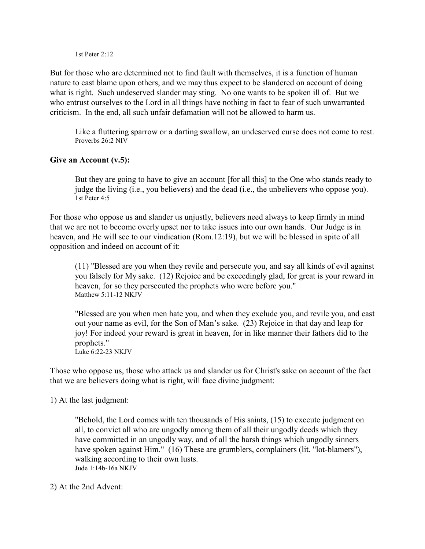1st Peter 2:12

But for those who are determined not to find fault with themselves, it is a function of human nature to cast blame upon others, and we may thus expect to be slandered on account of doing what is right. Such undeserved slander may sting. No one wants to be spoken ill of. But we who entrust ourselves to the Lord in all things have nothing in fact to fear of such unwarranted criticism. In the end, all such unfair defamation will not be allowed to harm us.

Like a fluttering sparrow or a darting swallow, an undeserved curse does not come to rest. Proverbs 26:2 NIV

# **Give an Account (v.5):**

But they are going to have to give an account [for all this] to the One who stands ready to judge the living (i.e., you believers) and the dead (i.e., the unbelievers who oppose you). 1st Peter 4:5

For those who oppose us and slander us unjustly, believers need always to keep firmly in mind that we are not to become overly upset nor to take issues into our own hands. Our Judge is in heaven, and He will see to our vindication (Rom.12:19), but we will be blessed in spite of all opposition and indeed on account of it:

(11) "Blessed are you when they revile and persecute you, and say all kinds of evil against you falsely for My sake. (12) Rejoice and be exceedingly glad, for great is your reward in heaven, for so they persecuted the prophets who were before you." Matthew 5:11-12 NKJV

"Blessed are you when men hate you, and when they exclude you, and revile you, and cast out your name as evil, for the Son of Man's sake. (23) Rejoice in that day and leap for joy! For indeed your reward is great in heaven, for in like manner their fathers did to the prophets." Luke 6:22-23 NKJV

Those who oppose us, those who attack us and slander us for Christ's sake on account of the fact that we are believers doing what is right, will face divine judgment:

1) At the last judgment:

"Behold, the Lord comes with ten thousands of His saints, (15) to execute judgment on all, to convict all who are ungodly among them of all their ungodly deeds which they have committed in an ungodly way, and of all the harsh things which ungodly sinners have spoken against Him." (16) These are grumblers, complainers (lit. "lot-blamers"), walking according to their own lusts. Jude 1:14b-16a NKJV

2) At the 2nd Advent: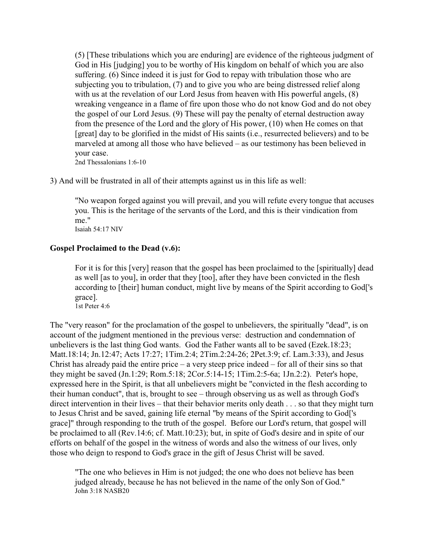(5) [These tribulations which you are enduring] are evidence of the righteous judgment of God in His [judging] you to be worthy of His kingdom on behalf of which you are also suffering. (6) Since indeed it is just for God to repay with tribulation those who are subjecting you to tribulation, (7) and to give you who are being distressed relief along with us at the revelation of our Lord Jesus from heaven with His powerful angels,  $(8)$ wreaking vengeance in a flame of fire upon those who do not know God and do not obey the gospel of our Lord Jesus. (9) These will pay the penalty of eternal destruction away from the presence of the Lord and the glory of His power, (10) when He comes on that [great] day to be glorified in the midst of His saints (i.e., resurrected believers) and to be marveled at among all those who have believed – as our testimony has been believed in your case.

2nd Thessalonians 1:6-10

3) And will be frustrated in all of their attempts against us in this life as well:

"No weapon forged against you will prevail, and you will refute every tongue that accuses you. This is the heritage of the servants of the Lord, and this is their vindication from me." Isaiah 54:17 NIV

#### **Gospel Proclaimed to the Dead (v.6):**

For it is for this [very] reason that the gospel has been proclaimed to the [spiritually] dead as well [as to you], in order that they [too], after they have been convicted in the flesh according to [their] human conduct, might live by means of the Spirit according to God['s grace]. 1st Peter 4:6

The "very reason" for the proclamation of the gospel to unbelievers, the spiritually "dead", is on account of the judgment mentioned in the previous verse: destruction and condemnation of unbelievers is the last thing God wants. God the Father wants all to be saved (Ezek.18:23; Matt.18:14; Jn.12:47; Acts 17:27; 1Tim.2:4; 2Tim.2:24-26; 2Pet.3:9; cf. Lam.3:33), and Jesus Christ has already paid the entire price – a very steep price indeed – for all of their sins so that they might be saved (Jn.1:29; Rom.5:18; 2Cor.5:14-15; 1Tim.2:5-6a; 1Jn.2:2). Peter's hope, expressed here in the Spirit, is that all unbelievers might be "convicted in the flesh according to their human conduct", that is, brought to see – through observing us as well as through God's direct intervention in their lives – that their behavior merits only death . . . so that they might turn to Jesus Christ and be saved, gaining life eternal "by means of the Spirit according to God['s grace]" through responding to the truth of the gospel. Before our Lord's return, that gospel will be proclaimed to all (Rev.14:6; cf. Matt.10:23); but, in spite of God's desire and in spite of our efforts on behalf of the gospel in the witness of words and also the witness of our lives, only those who deign to respond to God's grace in the gift of Jesus Christ will be saved.

"The one who believes in Him is not judged; the one who does not believe has been judged already, because he has not believed in the name of the only Son of God." John 3:18 NASB20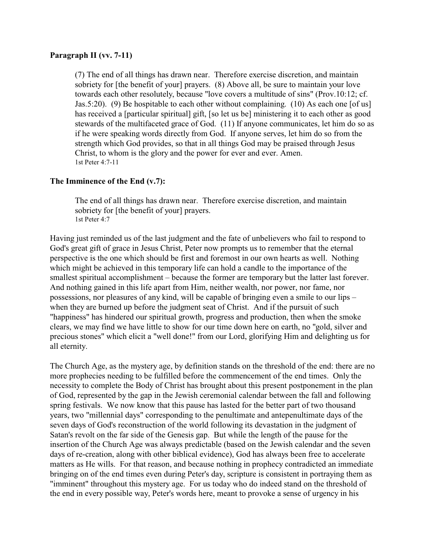#### **Paragraph II (vv. 7-11)**

(7) The end of all things has drawn near. Therefore exercise discretion, and maintain sobriety for [the benefit of your] prayers. (8) Above all, be sure to maintain your love towards each other resolutely, because "love covers a multitude of sins" (Prov.10:12; cf. Jas.5:20). (9) Be hospitable to each other without complaining. (10) As each one [of us] has received a [particular spiritual] gift, [so let us be] ministering it to each other as good stewards of the multifaceted grace of God. (11) If anyone communicates, let him do so as if he were speaking words directly from God. If anyone serves, let him do so from the strength which God provides, so that in all things God may be praised through Jesus Christ, to whom is the glory and the power for ever and ever. Amen. 1st Peter 4:7-11

### **The Imminence of the End (v.7):**

The end of all things has drawn near. Therefore exercise discretion, and maintain sobriety for [the benefit of your] prayers. 1st Peter 4:7

Having just reminded us of the last judgment and the fate of unbelievers who fail to respond to God's great gift of grace in Jesus Christ, Peter now prompts us to remember that the eternal perspective is the one which should be first and foremost in our own hearts as well. Nothing which might be achieved in this temporary life can hold a candle to the importance of the smallest spiritual accomplishment – because the former are temporary but the latter last forever. And nothing gained in this life apart from Him, neither wealth, nor power, nor fame, nor possessions, nor pleasures of any kind, will be capable of bringing even a smile to our lips – when they are burned up before the judgment seat of Christ. And if the pursuit of such "happiness" has hindered our spiritual growth, progress and production, then when the smoke clears, we may find we have little to show for our time down here on earth, no "gold, silver and precious stones" which elicit a "well done!" from our Lord, glorifying Him and delighting us for all eternity.

The Church Age, as the mystery age, by definition stands on the threshold of the end: there are no more prophecies needing to be fulfilled before the commencement of the end times. Only the necessity to complete the Body of Christ has brought about this present postponement in the plan of God, represented by the gap in the Jewish ceremonial calendar between the fall and following spring festivals. We now know that this pause has lasted for the better part of two thousand years, two "millennial days" corresponding to the penultimate and antepenultimate days of the seven days of God's reconstruction of the world following its devastation in the judgment of Satan's revolt on the far side of the Genesis gap. But while the length of the pause for the insertion of the Church Age was always predictable (based on the Jewish calendar and the seven days of re-creation, along with other biblical evidence), God has always been free to accelerate matters as He wills. For that reason, and because nothing in prophecy contradicted an immediate bringing on of the end times even during Peter's day, scripture is consistent in portraying them as "imminent" throughout this mystery age. For us today who do indeed stand on the threshold of the end in every possible way, Peter's words here, meant to provoke a sense of urgency in his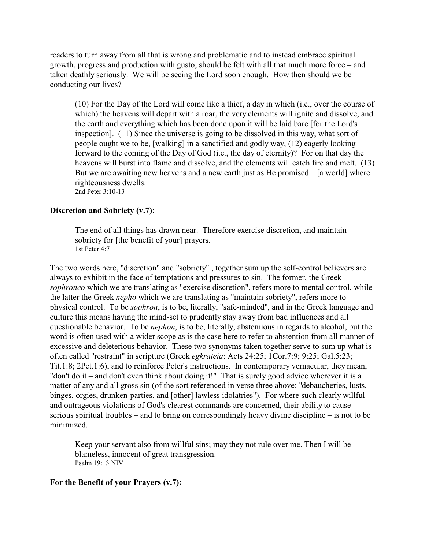readers to turn away from all that is wrong and problematic and to instead embrace spiritual growth, progress and production with gusto, should be felt with all that much more force – and taken deathly seriously. We will be seeing the Lord soon enough. How then should we be conducting our lives?

(10) For the Day of the Lord will come like a thief, a day in which (i.e., over the course of which) the heavens will depart with a roar, the very elements will ignite and dissolve, and the earth and everything which has been done upon it will be laid bare [for the Lord's inspection]. (11) Since the universe is going to be dissolved in this way, what sort of people ought we to be, [walking] in a sanctified and godly way, (12) eagerly looking forward to the coming of the Day of God (i.e., the day of eternity)? For on that day the heavens will burst into flame and dissolve, and the elements will catch fire and melt. (13) But we are awaiting new heavens and a new earth just as He promised – [a world] where righteousness dwells. 2nd Peter 3:10-13

#### **Discretion and Sobriety (v.7):**

The end of all things has drawn near. Therefore exercise discretion, and maintain sobriety for [the benefit of your] prayers. 1st Peter 4:7

The two words here, "discretion" and "sobriety" , together sum up the self-control believers are always to exhibit in the face of temptations and pressures to sin. The former, the Greek *sophroneo* which we are translating as "exercise discretion", refers more to mental control, while the latter the Greek *nepho* which we are translating as "maintain sobriety", refers more to physical control. To be *sophron*, is to be, literally, "safe-minded", and in the Greek language and culture this means having the mind-set to prudently stay away from bad influences and all questionable behavior. To be *nephon*, is to be, literally, abstemious in regards to alcohol, but the word is often used with a wider scope as is the case here to refer to abstention from all manner of excessive and deleterious behavior. These two synonyms taken together serve to sum up what is often called "restraint" in scripture (Greek *egkrateia*: Acts 24:25; 1Cor.7:9; 9:25; Gal.5:23; Tit.1:8; 2Pet.1:6), and to reinforce Peter's instructions. In contemporary vernacular, they mean, "don't do it – and don't even think about doing it!" That is surely good advice wherever it is a matter of any and all gross sin (of the sort referenced in verse three above: "debaucheries, lusts, binges, orgies, drunken-parties, and [other] lawless idolatries"). For where such clearly willful and outrageous violations of God's clearest commands are concerned, their ability to cause serious spiritual troubles – and to bring on correspondingly heavy divine discipline – is not to be minimized.

Keep your servant also from willful sins; may they not rule over me. Then I will be blameless, innocent of great transgression. Psalm 19:13 NIV

#### **For the Benefit of your Prayers (v.7):**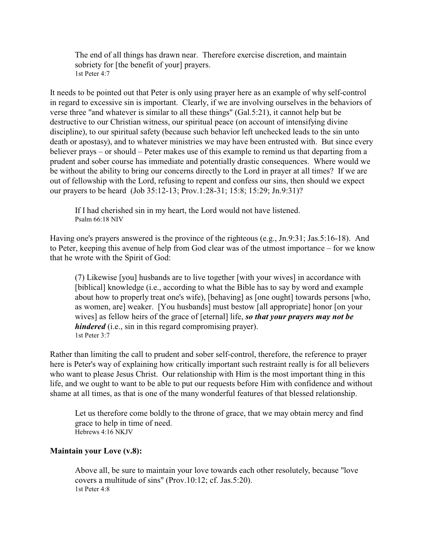The end of all things has drawn near. Therefore exercise discretion, and maintain sobriety for [the benefit of your] prayers. 1st Peter 4:7

It needs to be pointed out that Peter is only using prayer here as an example of why self-control in regard to excessive sin is important. Clearly, if we are involving ourselves in the behaviors of verse three "and whatever is similar to all these things" (Gal.5:21), it cannot help but be destructive to our Christian witness, our spiritual peace (on account of intensifying divine discipline), to our spiritual safety (because such behavior left unchecked leads to the sin unto death or apostasy), and to whatever ministries we may have been entrusted with. But since every believer prays – or should – Peter makes use of this example to remind us that departing from a prudent and sober course has immediate and potentially drastic consequences. Where would we be without the ability to bring our concerns directly to the Lord in prayer at all times? If we are out of fellowship with the Lord, refusing to repent and confess our sins, then should we expect our prayers to be heard (Job 35:12-13; Prov.1:28-31; 15:8; 15:29; Jn.9:31)?

If I had cherished sin in my heart, the Lord would not have listened. Psalm 66:18 NIV

Having one's prayers answered is the province of the righteous (e.g., Jn.9:31; Jas.5:16-18). And to Peter, keeping this avenue of help from God clear was of the utmost importance – for we know that he wrote with the Spirit of God:

(7) Likewise [you] husbands are to live together [with your wives] in accordance with [biblical] knowledge (i.e., according to what the Bible has to say by word and example about how to properly treat one's wife), [behaving] as [one ought] towards persons [who, as women, are] weaker. [You husbands] must bestow [all appropriate] honor [on your wives] as fellow heirs of the grace of [eternal] life, *so that your prayers may not be hindered* (i.e., sin in this regard compromising prayer). 1st Peter 3:7

Rather than limiting the call to prudent and sober self-control, therefore, the reference to prayer here is Peter's way of explaining how critically important such restraint really is for all believers who want to please Jesus Christ. Our relationship with Him is the most important thing in this life, and we ought to want to be able to put our requests before Him with confidence and without shame at all times, as that is one of the many wonderful features of that blessed relationship.

Let us therefore come boldly to the throne of grace, that we may obtain mercy and find grace to help in time of need. Hebrews 4:16 NKJV

### **Maintain your Love (v.8):**

Above all, be sure to maintain your love towards each other resolutely, because "love covers a multitude of sins" (Prov.10:12; cf. Jas.5:20). 1st Peter 4:8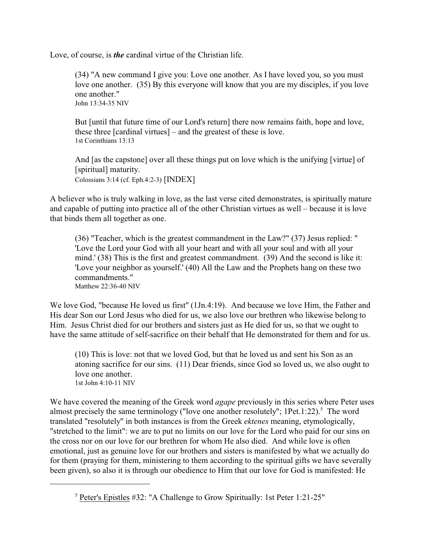Love, of course, is *the* cardinal virtue of the Christian life.

(34) "A new command I give you: Love one another. As I have loved you, so you must love one another. (35) By this everyone will know that you are my disciples, if you love one another." John 13:34-35 NIV

But [until that future time of our Lord's return] there now remains faith, hope and love, these three [cardinal virtues] – and the greatest of these is love. 1st Corinthians 13:13

And [as the capstone] over all these things put on love which is the unifying [virtue] of [spiritual] maturity. Colossians 3:14 (cf. Eph.4:2-3) [INDEX]

A believer who is truly walking in love, as the last verse cited demonstrates, is spiritually mature and capable of putting into practice all of the other Christian virtues as well – because it is love that binds them all together as one.

(36) "Teacher, which is the greatest commandment in the Law?" (37) Jesus replied: " 'Love the Lord your God with all your heart and with all your soul and with all your mind.' (38) This is the first and greatest commandment. (39) And the second is like it: 'Love your neighbor as yourself.' (40) All the Law and the Prophets hang on these two commandments." Matthew 22:36-40 NIV

We love God, "because He loved us first" (1Jn.4:19). And because we love Him, the Father and His dear Son our Lord Jesus who died for us, we also love our brethren who likewise belong to Him. Jesus Christ died for our brothers and sisters just as He died for us, so that we ought to have the same attitude of self-sacrifice on their behalf that He demonstrated for them and for us.

(10) This is love: not that we loved God, but that he loved us and sent his Son as an atoning sacrifice for our sins. (11) Dear friends, since God so loved us, we also ought to love one another. 1st John 4:10-11 NIV

We have covered the meaning of the Greek word *agape* previously in this series where Peter uses almost precisely the same terminology ("love one another resolutely"; 1Pet.1:22). $5$  The word translated "resolutely" in both instances is from the Greek *ektenes* meaning, etymologically, "stretched to the limit": we are to put no limits on our love for the Lord who paid for our sins on the cross nor on our love for our brethren for whom He also died. And while love is often emotional, just as genuine love for our brothers and sisters is manifested by what we actually do for them (praying for them, ministering to them according to the spiritual gifts we have severally been given), so also it is through our obedience to Him that our love for God is manifested: He

<sup>5</sup> Peter's Epistles #32: "A Challenge to Grow Spiritually: 1st Peter 1:21-25"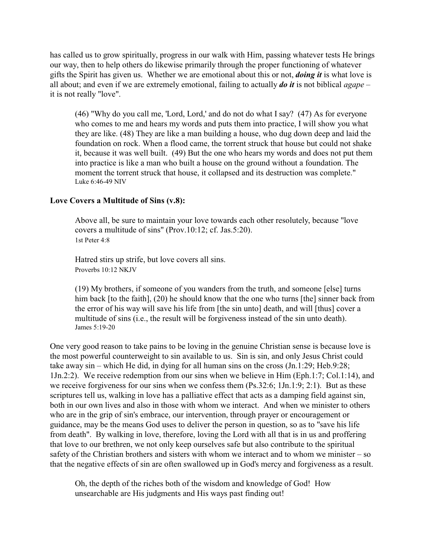has called us to grow spiritually, progress in our walk with Him, passing whatever tests He brings our way, then to help others do likewise primarily through the proper functioning of whatever gifts the Spirit has given us. Whether we are emotional about this or not, *doing it* is what love is all about; and even if we are extremely emotional, failing to actually *do it* is not biblical *agape* – it is not really "love".

(46) "Why do you call me, 'Lord, Lord,' and do not do what I say? (47) As for everyone who comes to me and hears my words and puts them into practice, I will show you what they are like. (48) They are like a man building a house, who dug down deep and laid the foundation on rock. When a flood came, the torrent struck that house but could not shake it, because it was well built. (49) But the one who hears my words and does not put them into practice is like a man who built a house on the ground without a foundation. The moment the torrent struck that house, it collapsed and its destruction was complete." Luke 6:46-49 NIV

### **Love Covers a Multitude of Sins (v.8):**

Above all, be sure to maintain your love towards each other resolutely, because "love covers a multitude of sins" (Prov.10:12; cf. Jas.5:20). 1st Peter 4:8

Hatred stirs up strife, but love covers all sins. Proverbs 10:12 NKJV

(19) My brothers, if someone of you wanders from the truth, and someone [else] turns him back [to the faith], (20) he should know that the one who turns [the] sinner back from the error of his way will save his life from [the sin unto] death, and will [thus] cover a multitude of sins (i.e., the result will be forgiveness instead of the sin unto death). James 5:19-20

One very good reason to take pains to be loving in the genuine Christian sense is because love is the most powerful counterweight to sin available to us. Sin is sin, and only Jesus Christ could take away sin – which He did, in dying for all human sins on the cross (Jn.1:29; Heb.9:28; 1Jn.2:2). We receive redemption from our sins when we believe in Him (Eph.1:7; Col.1:14), and we receive forgiveness for our sins when we confess them (Ps.32:6; 1Jn.1:9; 2:1). But as these scriptures tell us, walking in love has a palliative effect that acts as a damping field against sin, both in our own lives and also in those with whom we interact. And when we minister to others who are in the grip of sin's embrace, our intervention, through prayer or encouragement or guidance, may be the means God uses to deliver the person in question, so as to "save his life from death". By walking in love, therefore, loving the Lord with all that is in us and proffering that love to our brethren, we not only keep ourselves safe but also contribute to the spiritual safety of the Christian brothers and sisters with whom we interact and to whom we minister – so that the negative effects of sin are often swallowed up in God's mercy and forgiveness as a result.

Oh, the depth of the riches both of the wisdom and knowledge of God! How unsearchable are His judgments and His ways past finding out!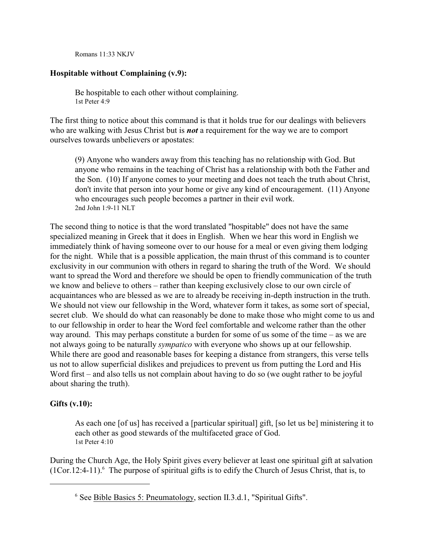Romans 11:33 NKJV

# **Hospitable without Complaining (v.9):**

Be hospitable to each other without complaining. 1st Peter 4:9

The first thing to notice about this command is that it holds true for our dealings with believers who are walking with Jesus Christ but is *not* a requirement for the way we are to comport ourselves towards unbelievers or apostates:

(9) Anyone who wanders away from this teaching has no relationship with God. But anyone who remains in the teaching of Christ has a relationship with both the Father and the Son. (10) If anyone comes to your meeting and does not teach the truth about Christ, don't invite that person into your home or give any kind of encouragement. (11) Anyone who encourages such people becomes a partner in their evil work. 2nd John 1:9-11 NLT

The second thing to notice is that the word translated "hospitable" does not have the same specialized meaning in Greek that it does in English. When we hear this word in English we immediately think of having someone over to our house for a meal or even giving them lodging for the night. While that is a possible application, the main thrust of this command is to counter exclusivity in our communion with others in regard to sharing the truth of the Word. We should want to spread the Word and therefore we should be open to friendly communication of the truth we know and believe to others – rather than keeping exclusively close to our own circle of acquaintances who are blessed as we are to already be receiving in-depth instruction in the truth. We should not view our fellowship in the Word, whatever form it takes, as some sort of special, secret club. We should do what can reasonably be done to make those who might come to us and to our fellowship in order to hear the Word feel comfortable and welcome rather than the other way around. This may perhaps constitute a burden for some of us some of the time – as we are not always going to be naturally *sympatico* with everyone who shows up at our fellowship. While there are good and reasonable bases for keeping a distance from strangers, this verse tells us not to allow superficial dislikes and prejudices to prevent us from putting the Lord and His Word first – and also tells us not complain about having to do so (we ought rather to be joyful) about sharing the truth).

### **Gifts (v.10):**

As each one [of us] has received a [particular spiritual] gift, [so let us be] ministering it to each other as good stewards of the multifaceted grace of God. 1st Peter 4:10

During the Church Age, the Holy Spirit gives every believer at least one spiritual gift at salvation  $(1Cor.12:4-11)$ .<sup>6</sup> The purpose of spiritual gifts is to edify the Church of Jesus Christ, that is, to

<sup>&</sup>lt;sup>6</sup> See Bible Basics 5: Pneumatology, section II.3.d.1, "Spiritual Gifts".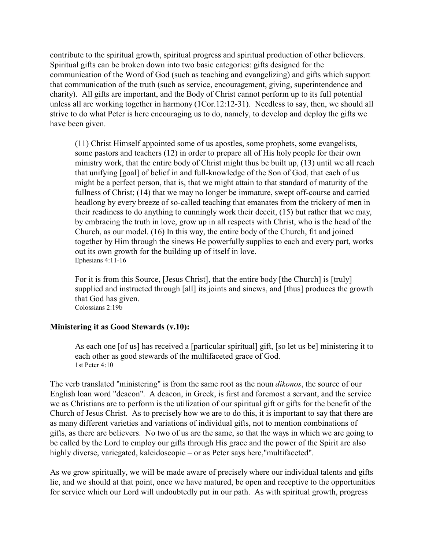contribute to the spiritual growth, spiritual progress and spiritual production of other believers. Spiritual gifts can be broken down into two basic categories: gifts designed for the communication of the Word of God (such as teaching and evangelizing) and gifts which support that communication of the truth (such as service, encouragement, giving, superintendence and charity). All gifts are important, and the Body of Christ cannot perform up to its full potential unless all are working together in harmony (1Cor.12:12-31). Needless to say, then, we should all strive to do what Peter is here encouraging us to do, namely, to develop and deploy the gifts we have been given.

(11) Christ Himself appointed some of us apostles, some prophets, some evangelists, some pastors and teachers (12) in order to prepare all of His holy people for their own ministry work, that the entire body of Christ might thus be built up, (13) until we all reach that unifying [goal] of belief in and full-knowledge of the Son of God, that each of us might be a perfect person, that is, that we might attain to that standard of maturity of the fullness of Christ; (14) that we may no longer be immature, swept off-course and carried headlong by every breeze of so-called teaching that emanates from the trickery of men in their readiness to do anything to cunningly work their deceit, (15) but rather that we may, by embracing the truth in love, grow up in all respects with Christ, who is the head of the Church, as our model. (16) In this way, the entire body of the Church, fit and joined together by Him through the sinews He powerfully supplies to each and every part, works out its own growth for the building up of itself in love. Ephesians 4:11-16

For it is from this Source, [Jesus Christ], that the entire body [the Church] is [truly] supplied and instructed through [all] its joints and sinews, and [thus] produces the growth that God has given. Colossians 2:19b

### **Ministering it as Good Stewards (v.10):**

As each one [of us] has received a [particular spiritual] gift, [so let us be] ministering it to each other as good stewards of the multifaceted grace of God. 1st Peter 4:10

The verb translated "ministering" is from the same root as the noun *dikonos*, the source of our English loan word "deacon". A deacon, in Greek, is first and foremost a servant, and the service we as Christians are to perform is the utilization of our spiritual gift or gifts for the benefit of the Church of Jesus Christ. As to precisely how we are to do this, it is important to say that there are as many different varieties and variations of individual gifts, not to mention combinations of gifts, as there are believers. No two of us are the same, so that the ways in which we are going to be called by the Lord to employ our gifts through His grace and the power of the Spirit are also highly diverse, variegated, kaleidoscopic – or as Peter says here, "multifaceted".

As we grow spiritually, we will be made aware of precisely where our individual talents and gifts lie, and we should at that point, once we have matured, be open and receptive to the opportunities for service which our Lord will undoubtedly put in our path. As with spiritual growth, progress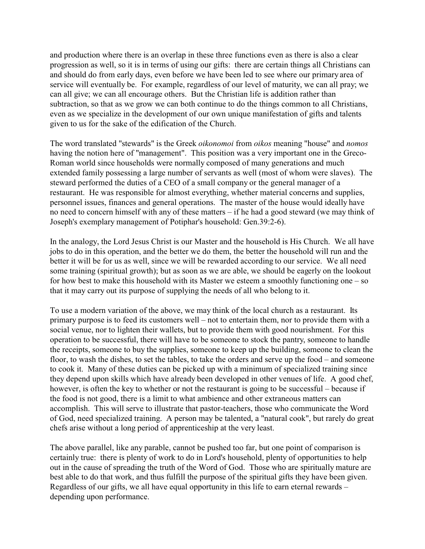and production where there is an overlap in these three functions even as there is also a clear progression as well, so it is in terms of using our gifts: there are certain things all Christians can and should do from early days, even before we have been led to see where our primary area of service will eventually be. For example, regardless of our level of maturity, we can all pray; we can all give; we can all encourage others. But the Christian life is addition rather than subtraction, so that as we grow we can both continue to do the things common to all Christians, even as we specialize in the development of our own unique manifestation of gifts and talents given to us for the sake of the edification of the Church.

The word translated "stewards" is the Greek *oikonomoi* from *oikos* meaning "house" and *nomos* having the notion here of "management". This position was a very important one in the Greco-Roman world since households were normally composed of many generations and much extended family possessing a large number of servants as well (most of whom were slaves). The steward performed the duties of a CEO of a small company or the general manager of a restaurant. He was responsible for almost everything, whether material concerns and supplies, personnel issues, finances and general operations. The master of the house would ideally have no need to concern himself with any of these matters – if he had a good steward (we may think of Joseph's exemplary management of Potiphar's household: Gen.39:2-6).

In the analogy, the Lord Jesus Christ is our Master and the household is His Church. We all have jobs to do in this operation, and the better we do them, the better the household will run and the better it will be for us as well, since we will be rewarded according to our service. We all need some training (spiritual growth); but as soon as we are able, we should be eagerly on the lookout for how best to make this household with its Master we esteem a smoothly functioning one – so that it may carry out its purpose of supplying the needs of all who belong to it.

To use a modern variation of the above, we may think of the local church as a restaurant. Its primary purpose is to feed its customers well – not to entertain them, nor to provide them with a social venue, nor to lighten their wallets, but to provide them with good nourishment. For this operation to be successful, there will have to be someone to stock the pantry, someone to handle the receipts, someone to buy the supplies, someone to keep up the building, someone to clean the floor, to wash the dishes, to set the tables, to take the orders and serve up the food – and someone to cook it. Many of these duties can be picked up with a minimum of specialized training since they depend upon skills which have already been developed in other venues of life. A good chef, however, is often the key to whether or not the restaurant is going to be successful – because if the food is not good, there is a limit to what ambience and other extraneous matters can accomplish. This will serve to illustrate that pastor-teachers, those who communicate the Word of God, need specialized training. A person may be talented, a "natural cook", but rarely do great chefs arise without a long period of apprenticeship at the very least.

The above parallel, like any parable, cannot be pushed too far, but one point of comparison is certainly true: there is plenty of work to do in Lord's household, plenty of opportunities to help out in the cause of spreading the truth of the Word of God. Those who are spiritually mature are best able to do that work, and thus fulfill the purpose of the spiritual gifts they have been given. Regardless of our gifts, we all have equal opportunity in this life to earn eternal rewards – depending upon performance.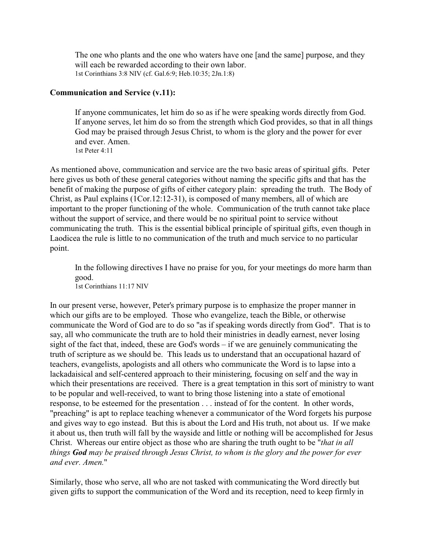The one who plants and the one who waters have one [and the same] purpose, and they will each be rewarded according to their own labor. 1st Corinthians 3:8 NIV (cf. Gal.6:9; Heb.10:35; 2Jn.1:8)

#### **Communication and Service (v.11):**

If anyone communicates, let him do so as if he were speaking words directly from God. If anyone serves, let him do so from the strength which God provides, so that in all things God may be praised through Jesus Christ, to whom is the glory and the power for ever and ever. Amen. 1st Peter 4:11

As mentioned above, communication and service are the two basic areas of spiritual gifts. Peter here gives us both of these general categories without naming the specific gifts and that has the benefit of making the purpose of gifts of either category plain: spreading the truth. The Body of Christ, as Paul explains (1Cor.12:12-31), is composed of many members, all of which are important to the proper functioning of the whole. Communication of the truth cannot take place without the support of service, and there would be no spiritual point to service without communicating the truth. This is the essential biblical principle of spiritual gifts, even though in Laodicea the rule is little to no communication of the truth and much service to no particular point.

In the following directives I have no praise for you, for your meetings do more harm than good. 1st Corinthians 11:17 NIV

In our present verse, however, Peter's primary purpose is to emphasize the proper manner in which our gifts are to be employed. Those who evangelize, teach the Bible, or otherwise communicate the Word of God are to do so "as if speaking words directly from God". That is to say, all who communicate the truth are to hold their ministries in deadly earnest, never losing sight of the fact that, indeed, these are God's words – if we are genuinely communicating the truth of scripture as we should be. This leads us to understand that an occupational hazard of teachers, evangelists, apologists and all others who communicate the Word is to lapse into a lackadaisical and self-centered approach to their ministering, focusing on self and the way in which their presentations are received. There is a great temptation in this sort of ministry to want to be popular and well-received, to want to bring those listening into a state of emotional response, to be esteemed for the presentation . . . instead of for the content. In other words, "preaching" is apt to replace teaching whenever a communicator of the Word forgets his purpose and gives way to ego instead. But this is about the Lord and His truth, not about us. If we make it about us, then truth will fall by the wayside and little or nothing will be accomplished for Jesus Christ. Whereas our entire object as those who are sharing the truth ought to be "*that in all things God may be praised through Jesus Christ, to whom is the glory and the power for ever and ever. Amen.*"

Similarly, those who serve, all who are not tasked with communicating the Word directly but given gifts to support the communication of the Word and its reception, need to keep firmly in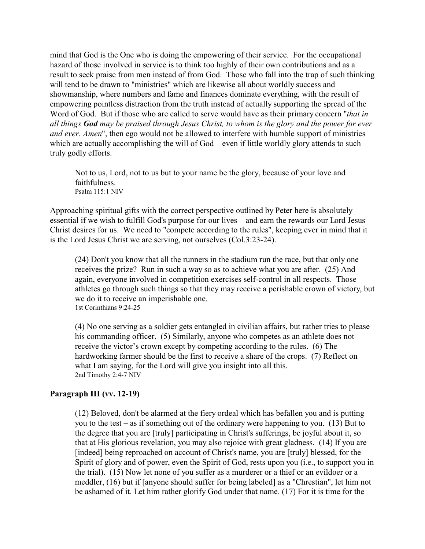mind that God is the One who is doing the empowering of their service. For the occupational hazard of those involved in service is to think too highly of their own contributions and as a result to seek praise from men instead of from God. Those who fall into the trap of such thinking will tend to be drawn to "ministries" which are likewise all about worldly success and showmanship, where numbers and fame and finances dominate everything, with the result of empowering pointless distraction from the truth instead of actually supporting the spread of the Word of God. But if those who are called to serve would have as their primary concern "*that in all things God may be praised through Jesus Christ, to whom is the glory and the power for ever and ever. Amen*", then ego would not be allowed to interfere with humble support of ministries which are actually accomplishing the will of God – even if little worldly glory attends to such truly godly efforts.

Not to us, Lord, not to us but to your name be the glory, because of your love and faithfulness. Psalm 115:1 NIV

Approaching spiritual gifts with the correct perspective outlined by Peter here is absolutely essential if we wish to fulfill God's purpose for our lives – and earn the rewards our Lord Jesus Christ desires for us. We need to "compete according to the rules", keeping ever in mind that it is the Lord Jesus Christ we are serving, not ourselves (Col.3:23-24).

(24) Don't you know that all the runners in the stadium run the race, but that only one receives the prize? Run in such a way so as to achieve what you are after. (25) And again, everyone involved in competition exercises self-control in all respects. Those athletes go through such things so that they may receive a perishable crown of victory, but we do it to receive an imperishable one. 1st Corinthians 9:24-25

(4) No one serving as a soldier gets entangled in civilian affairs, but rather tries to please his commanding officer. (5) Similarly, anyone who competes as an athlete does not receive the victor's crown except by competing according to the rules. (6) The hardworking farmer should be the first to receive a share of the crops. (7) Reflect on what I am saying, for the Lord will give you insight into all this. 2nd Timothy 2:4-7 NIV

### **Paragraph III (vv. 12-19)**

(12) Beloved, don't be alarmed at the fiery ordeal which has befallen you and is putting you to the test – as if something out of the ordinary were happening to you. (13) But to the degree that you are [truly] participating in Christ's sufferings, be joyful about it, so that at His glorious revelation, you may also rejoice with great gladness. (14) If you are [indeed] being reproached on account of Christ's name, you are [truly] blessed, for the Spirit of glory and of power, even the Spirit of God, rests upon you (i.e., to support you in the trial). (15) Now let none of you suffer as a murderer or a thief or an evildoer or a meddler, (16) but if [anyone should suffer for being labeled] as a "Chrestian", let him not be ashamed of it. Let him rather glorify God under that name. (17) For it is time for the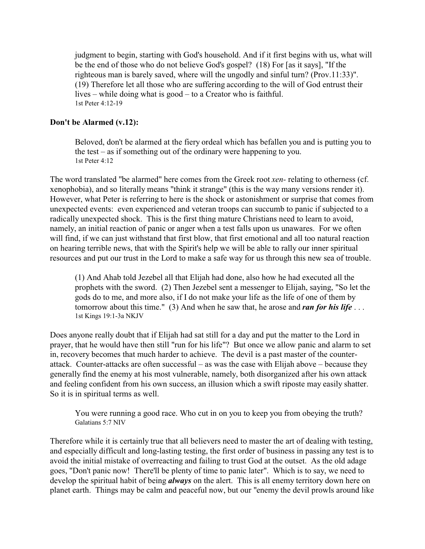judgment to begin, starting with God's household. And if it first begins with us, what will be the end of those who do not believe God's gospel? (18) For [as it says], "If the righteous man is barely saved, where will the ungodly and sinful turn? (Prov.11:33)". (19) Therefore let all those who are suffering according to the will of God entrust their lives – while doing what is good – to a Creator who is faithful. 1st Peter 4:12-19

# **Don't be Alarmed (v.12):**

Beloved, don't be alarmed at the fiery ordeal which has befallen you and is putting you to the test – as if something out of the ordinary were happening to you. 1st Peter 4:12

The word translated "be alarmed" here comes from the Greek root *xen-* relating to otherness (cf. xenophobia), and so literally means "think it strange" (this is the way many versions render it). However, what Peter is referring to here is the shock or astonishment or surprise that comes from unexpected events: even experienced and veteran troops can succumb to panic if subjected to a radically unexpected shock. This is the first thing mature Christians need to learn to avoid, namely, an initial reaction of panic or anger when a test falls upon us unawares. For we often will find, if we can just withstand that first blow, that first emotional and all too natural reaction on hearing terrible news, that with the Spirit's help we will be able to rally our inner spiritual resources and put our trust in the Lord to make a safe way for us through this new sea of trouble.

(1) And Ahab told Jezebel all that Elijah had done, also how he had executed all the prophets with the sword. (2) Then Jezebel sent a messenger to Elijah, saying, "So let the gods do to me, and more also, if I do not make your life as the life of one of them by tomorrow about this time." (3) And when he saw that, he arose and *ran for his life* . . . 1st Kings 19:1-3a NKJV

Does anyone really doubt that if Elijah had sat still for a day and put the matter to the Lord in prayer, that he would have then still "run for his life"? But once we allow panic and alarm to set in, recovery becomes that much harder to achieve. The devil is a past master of the counterattack. Counter-attacks are often successful – as was the case with Elijah above – because they generally find the enemy at his most vulnerable, namely, both disorganized after his own attack and feeling confident from his own success, an illusion which a swift riposte may easily shatter. So it is in spiritual terms as well.

You were running a good race. Who cut in on you to keep you from obeying the truth? Galatians 5:7 NIV

Therefore while it is certainly true that all believers need to master the art of dealing with testing, and especially difficult and long-lasting testing, the first order of business in passing any test is to avoid the initial mistake of overreacting and failing to trust God at the outset. As the old adage goes, "Don't panic now! There'll be plenty of time to panic later". Which is to say, we need to develop the spiritual habit of being *always* on the alert. This is all enemy territory down here on planet earth. Things may be calm and peaceful now, but our "enemy the devil prowls around like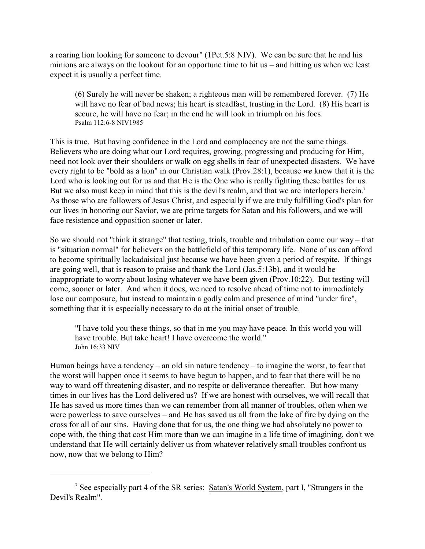a roaring lion looking for someone to devour" (1Pet.5:8 NIV). We can be sure that he and his minions are always on the lookout for an opportune time to hit us – and hitting us when we least expect it is usually a perfect time.

(6) Surely he will never be shaken; a righteous man will be remembered forever. (7) He will have no fear of bad news; his heart is steadfast, trusting in the Lord. (8) His heart is secure, he will have no fear; in the end he will look in triumph on his foes. Psalm 112:6-8 NIV1985

This is true. But having confidence in the Lord and complacency are not the same things. Believers who are doing what our Lord requires, growing, progressing and producing for Him, need not look over their shoulders or walk on egg shells in fear of unexpected disasters. We have every right to be "bold as a lion" in our Christian walk (Prov.28:1), because *we* know that it is the Lord who is looking out for us and that He is the One who is really fighting these battles for us. But we also must keep in mind that this is the devil's realm, and that we are interlopers herein.<sup>7</sup> As those who are followers of Jesus Christ, and especially if we are truly fulfilling God's plan for our lives in honoring our Savior, we are prime targets for Satan and his followers, and we will face resistence and opposition sooner or later.

So we should not "think it strange" that testing, trials, trouble and tribulation come our way – that is "situation normal" for believers on the battlefield of this temporary life. None of us can afford to become spiritually lackadaisical just because we have been given a period of respite. If things are going well, that is reason to praise and thank the Lord (Jas.5:13b), and it would be inappropriate to worry about losing whatever we have been given (Prov.10:22). But testing will come, sooner or later. And when it does, we need to resolve ahead of time not to immediately lose our composure, but instead to maintain a godly calm and presence of mind "under fire", something that it is especially necessary to do at the initial onset of trouble.

"I have told you these things, so that in me you may have peace. In this world you will have trouble. But take heart! I have overcome the world." John 16:33 NIV

Human beings have a tendency – an old sin nature tendency – to imagine the worst, to fear that the worst will happen once it seems to have begun to happen, and to fear that there will be no way to ward off threatening disaster, and no respite or deliverance thereafter. But how many times in our lives has the Lord delivered us? If we are honest with ourselves, we will recall that He has saved us more times than we can remember from all manner of troubles, often when we were powerless to save ourselves – and He has saved us all from the lake of fire by dying on the cross for all of our sins. Having done that for us, the one thing we had absolutely no power to cope with, the thing that cost Him more than we can imagine in a life time of imagining, don't we understand that He will certainly deliver us from whatever relatively small troubles confront us now, now that we belong to Him?

<sup>&</sup>lt;sup>7</sup> See especially part 4 of the SR series: Satan's World System, part I, "Strangers in the Devil's Realm".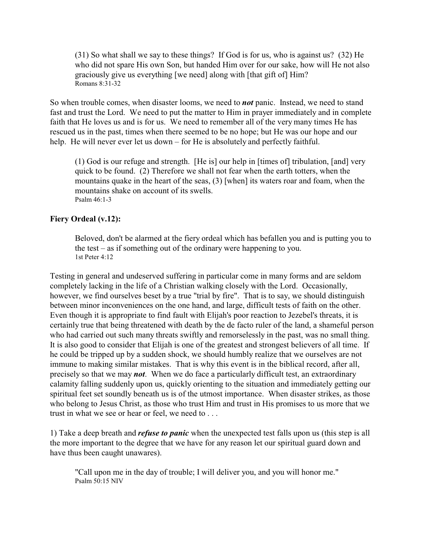(31) So what shall we say to these things? If God is for us, who is against us? (32) He who did not spare His own Son, but handed Him over for our sake, how will He not also graciously give us everything [we need] along with [that gift of] Him? Romans 8:31-32

So when trouble comes, when disaster looms, we need to *not* panic. Instead, we need to stand fast and trust the Lord. We need to put the matter to Him in prayer immediately and in complete faith that He loves us and is for us. We need to remember all of the very many times He has rescued us in the past, times when there seemed to be no hope; but He was our hope and our help. He will never ever let us down – for He is absolutely and perfectly faithful.

(1) God is our refuge and strength. [He is] our help in [times of] tribulation, [and] very quick to be found. (2) Therefore we shall not fear when the earth totters, when the mountains quake in the heart of the seas, (3) [when] its waters roar and foam, when the mountains shake on account of its swells. Psalm 46:1-3

### **Fiery Ordeal (v.12):**

Beloved, don't be alarmed at the fiery ordeal which has befallen you and is putting you to the test – as if something out of the ordinary were happening to you. 1st Peter 4:12

Testing in general and undeserved suffering in particular come in many forms and are seldom completely lacking in the life of a Christian walking closely with the Lord. Occasionally, however, we find ourselves beset by a true "trial by fire". That is to say, we should distinguish between minor inconveniences on the one hand, and large, difficult tests of faith on the other. Even though it is appropriate to find fault with Elijah's poor reaction to Jezebel's threats, it is certainly true that being threatened with death by the de facto ruler of the land, a shameful person who had carried out such many threats swiftly and remorselessly in the past, was no small thing. It is also good to consider that Elijah is one of the greatest and strongest believers of all time. If he could be tripped up by a sudden shock, we should humbly realize that we ourselves are not immune to making similar mistakes. That is why this event is in the biblical record, after all, precisely so that we may *not*. When we do face a particularly difficult test, an extraordinary calamity falling suddenly upon us, quickly orienting to the situation and immediately getting our spiritual feet set soundly beneath us is of the utmost importance. When disaster strikes, as those who belong to Jesus Christ, as those who trust Him and trust in His promises to us more that we trust in what we see or hear or feel, we need to . . .

1) Take a deep breath and *refuse to panic* when the unexpected test falls upon us (this step is all the more important to the degree that we have for any reason let our spiritual guard down and have thus been caught unawares).

"Call upon me in the day of trouble; I will deliver you, and you will honor me." Psalm 50:15 NIV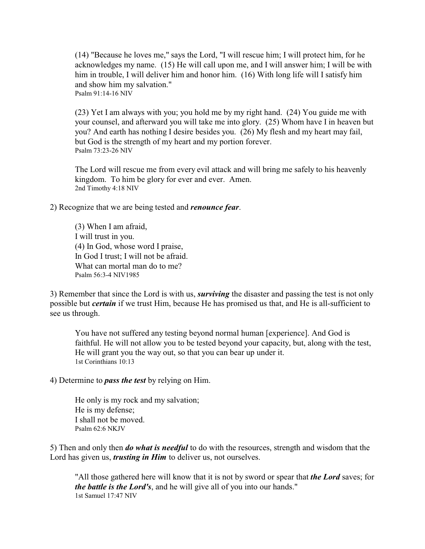(14) "Because he loves me," says the Lord, "I will rescue him; I will protect him, for he acknowledges my name. (15) He will call upon me, and I will answer him; I will be with him in trouble, I will deliver him and honor him. (16) With long life will I satisfy him and show him my salvation." Psalm 91:14-16 NIV

(23) Yet I am always with you; you hold me by my right hand. (24) You guide me with your counsel, and afterward you will take me into glory. (25) Whom have I in heaven but you? And earth has nothing I desire besides you. (26) My flesh and my heart may fail, but God is the strength of my heart and my portion forever. Psalm 73:23-26 NIV

The Lord will rescue me from every evil attack and will bring me safely to his heavenly kingdom. To him be glory for ever and ever. Amen. 2nd Timothy 4:18 NIV

2) Recognize that we are being tested and *renounce fear*.

(3) When I am afraid, I will trust in you. (4) In God, whose word I praise, In God I trust; I will not be afraid. What can mortal man do to me? Psalm 56:3-4 NIV1985

3) Remember that since the Lord is with us, *surviving* the disaster and passing the test is not only possible but *certain* if we trust Him, because He has promised us that, and He is all-sufficient to see us through.

You have not suffered any testing beyond normal human [experience]. And God is faithful. He will not allow you to be tested beyond your capacity, but, along with the test, He will grant you the way out, so that you can bear up under it. 1st Corinthians 10:13

4) Determine to *pass the test* by relying on Him.

He only is my rock and my salvation; He is my defense; I shall not be moved. Psalm 62:6 NKJV

5) Then and only then *do what is needful* to do with the resources, strength and wisdom that the Lord has given us, *trusting in Him* to deliver us, not ourselves.

"All those gathered here will know that it is not by sword or spear that *the Lord* saves; for *the battle is the Lord's*, and he will give all of you into our hands." 1st Samuel 17:47 NIV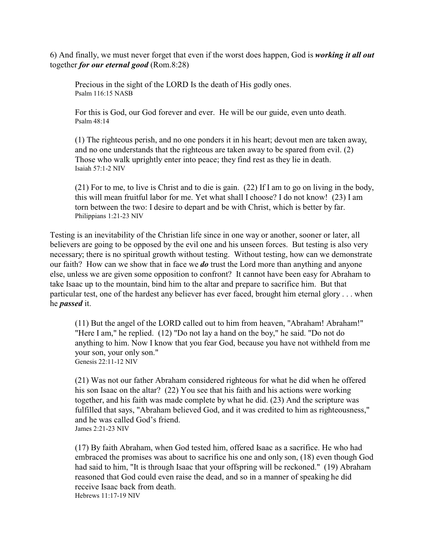6) And finally, we must never forget that even if the worst does happen, God is *working it all out* together *for our eternal good* (Rom.8:28)

Precious in the sight of the LORD Is the death of His godly ones. Psalm 116:15 NASB

For this is God, our God forever and ever. He will be our guide, even unto death. Psalm 48:14

(1) The righteous perish, and no one ponders it in his heart; devout men are taken away, and no one understands that the righteous are taken away to be spared from evil. (2) Those who walk uprightly enter into peace; they find rest as they lie in death. Isaiah 57:1-2 NIV

(21) For to me, to live is Christ and to die is gain. (22) If I am to go on living in the body, this will mean fruitful labor for me. Yet what shall I choose? I do not know! (23) I am torn between the two: I desire to depart and be with Christ, which is better by far. Philippians 1:21-23 NIV

Testing is an inevitability of the Christian life since in one way or another, sooner or later, all believers are going to be opposed by the evil one and his unseen forces. But testing is also very necessary; there is no spiritual growth without testing. Without testing, how can we demonstrate our faith? How can we show that in face we *do* trust the Lord more than anything and anyone else, unless we are given some opposition to confront? It cannot have been easy for Abraham to take Isaac up to the mountain, bind him to the altar and prepare to sacrifice him. But that particular test, one of the hardest any believer has ever faced, brought him eternal glory . . . when he *passed* it.

(11) But the angel of the LORD called out to him from heaven, "Abraham! Abraham!" "Here I am," he replied. (12) "Do not lay a hand on the boy," he said. "Do not do anything to him. Now I know that you fear God, because you have not withheld from me your son, your only son." Genesis 22:11-12 NIV

(21) Was not our father Abraham considered righteous for what he did when he offered his son Isaac on the altar? (22) You see that his faith and his actions were working together, and his faith was made complete by what he did. (23) And the scripture was fulfilled that says, "Abraham believed God, and it was credited to him as righteousness," and he was called God's friend. James 2:21-23 NIV

(17) By faith Abraham, when God tested him, offered Isaac as a sacrifice. He who had embraced the promises was about to sacrifice his one and only son, (18) even though God had said to him, "It is through Isaac that your offspring will be reckoned." (19) Abraham reasoned that God could even raise the dead, and so in a manner of speaking he did receive Isaac back from death. Hebrews 11:17-19 NIV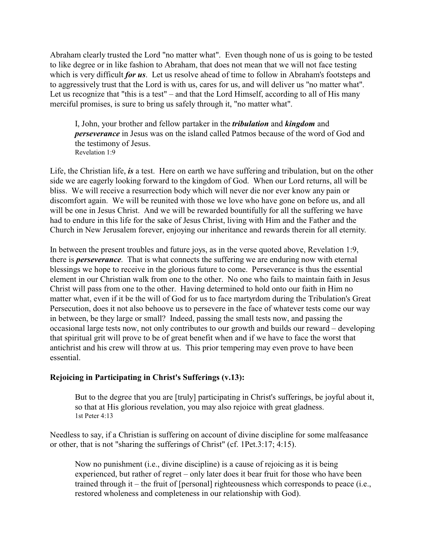Abraham clearly trusted the Lord "no matter what". Even though none of us is going to be tested to like degree or in like fashion to Abraham, that does not mean that we will not face testing which is very difficult *for us*. Let us resolve ahead of time to follow in Abraham's footsteps and to aggressively trust that the Lord is with us, cares for us, and will deliver us "no matter what". Let us recognize that "this is a test" – and that the Lord Himself, according to all of His many merciful promises, is sure to bring us safely through it, "no matter what".

I, John, your brother and fellow partaker in the *tribulation* and *kingdom* and *perseverance* in Jesus was on the island called Patmos because of the word of God and the testimony of Jesus. Revelation 1:9

Life, the Christian life, *is* a test. Here on earth we have suffering and tribulation, but on the other side we are eagerly looking forward to the kingdom of God. When our Lord returns, all will be bliss. We will receive a resurrection body which will never die nor ever know any pain or discomfort again. We will be reunited with those we love who have gone on before us, and all will be one in Jesus Christ. And we will be rewarded bountifully for all the suffering we have had to endure in this life for the sake of Jesus Christ, living with Him and the Father and the Church in New Jerusalem forever, enjoying our inheritance and rewards therein for all eternity.

In between the present troubles and future joys, as in the verse quoted above, Revelation 1:9, there is *perseverance*. That is what connects the suffering we are enduring now with eternal blessings we hope to receive in the glorious future to come. Perseverance is thus the essential element in our Christian walk from one to the other. No one who fails to maintain faith in Jesus Christ will pass from one to the other. Having determined to hold onto our faith in Him no matter what, even if it be the will of God for us to face martyrdom during the Tribulation's Great Persecution, does it not also behoove us to persevere in the face of whatever tests come our way in between, be they large or small? Indeed, passing the small tests now, and passing the occasional large tests now, not only contributes to our growth and builds our reward – developing that spiritual grit will prove to be of great benefit when and if we have to face the worst that antichrist and his crew will throw at us. This prior tempering may even prove to have been essential.

### **Rejoicing in Participating in Christ's Sufferings (v.13):**

But to the degree that you are [truly] participating in Christ's sufferings, be joyful about it, so that at His glorious revelation, you may also rejoice with great gladness. 1st Peter 4:13

Needless to say, if a Christian is suffering on account of divine discipline for some malfeasance or other, that is not "sharing the sufferings of Christ" (cf. 1Pet.3:17; 4:15).

Now no punishment (i.e., divine discipline) is a cause of rejoicing as it is being experienced, but rather of regret – only later does it bear fruit for those who have been trained through it – the fruit of [personal] righteousness which corresponds to peace (i.e., restored wholeness and completeness in our relationship with God).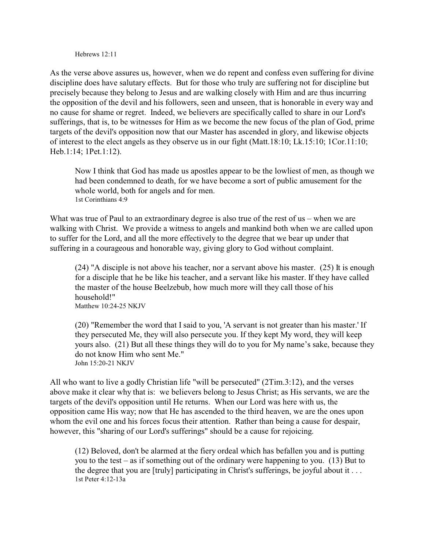Hebrews 12:11

As the verse above assures us, however, when we do repent and confess even suffering for divine discipline does have salutary effects. But for those who truly are suffering not for discipline but precisely because they belong to Jesus and are walking closely with Him and are thus incurring the opposition of the devil and his followers, seen and unseen, that is honorable in every way and no cause for shame or regret. Indeed, we believers are specifically called to share in our Lord's sufferings, that is, to be witnesses for Him as we become the new focus of the plan of God, prime targets of the devil's opposition now that our Master has ascended in glory, and likewise objects of interest to the elect angels as they observe us in our fight (Matt.18:10; Lk.15:10; 1Cor.11:10; Heb.1:14; 1Pet.1:12).

Now I think that God has made us apostles appear to be the lowliest of men, as though we had been condemned to death, for we have become a sort of public amusement for the whole world, both for angels and for men. 1st Corinthians 4:9

What was true of Paul to an extraordinary degree is also true of the rest of us – when we are walking with Christ. We provide a witness to angels and mankind both when we are called upon to suffer for the Lord, and all the more effectively to the degree that we bear up under that suffering in a courageous and honorable way, giving glory to God without complaint.

(24) "A disciple is not above his teacher, nor a servant above his master. (25) It is enough for a disciple that he be like his teacher, and a servant like his master. If they have called the master of the house Beelzebub, how much more will they call those of his household!" Matthew 10:24-25 NKJV

(20) "Remember the word that I said to you, 'A servant is not greater than his master.' If they persecuted Me, they will also persecute you. If they kept My word, they will keep yours also. (21) But all these things they will do to you for My name's sake, because they do not know Him who sent Me." John 15:20-21 NKJV

All who want to live a godly Christian life "will be persecuted" (2Tim.3:12), and the verses above make it clear why that is: we believers belong to Jesus Christ; as His servants, we are the targets of the devil's opposition until He returns. When our Lord was here with us, the opposition came His way; now that He has ascended to the third heaven, we are the ones upon whom the evil one and his forces focus their attention. Rather than being a cause for despair, however, this "sharing of our Lord's sufferings" should be a cause for rejoicing.

(12) Beloved, don't be alarmed at the fiery ordeal which has befallen you and is putting you to the test – as if something out of the ordinary were happening to you. (13) But to the degree that you are  $[$ truly $]$  participating in Christ's sufferings, be joyful about it ... 1st Peter 4:12-13a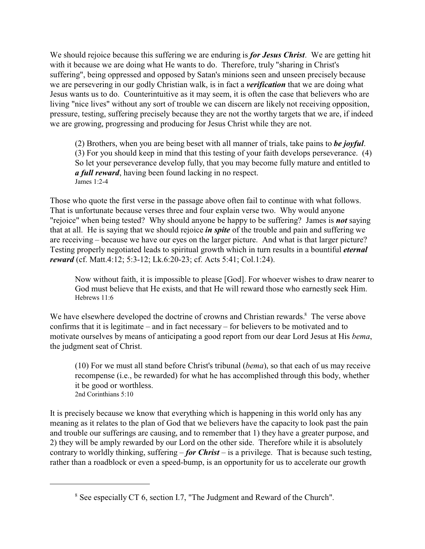We should rejoice because this suffering we are enduring is *for Jesus Christ*. We are getting hit with it because we are doing what He wants to do. Therefore, truly "sharing in Christ's suffering", being oppressed and opposed by Satan's minions seen and unseen precisely because we are persevering in our godly Christian walk, is in fact a *verification* that we are doing what Jesus wants us to do. Counterintuitive as it may seem, it is often the case that believers who are living "nice lives" without any sort of trouble we can discern are likely not receiving opposition, pressure, testing, suffering precisely because they are not the worthy targets that we are, if indeed we are growing, progressing and producing for Jesus Christ while they are not.

(2) Brothers, when you are being beset with all manner of trials, take pains to *be joyful*. (3) For you should keep in mind that this testing of your faith develops perseverance. (4) So let your perseverance develop fully, that you may become fully mature and entitled to *a full reward*, having been found lacking in no respect. James 1:2-4

Those who quote the first verse in the passage above often fail to continue with what follows. That is unfortunate because verses three and four explain verse two. Why would anyone "rejoice" when being tested? Why should anyone be happy to be suffering? James is *not* saying that at all. He is saying that we should rejoice *in spite* of the trouble and pain and suffering we are receiving – because we have our eyes on the larger picture. And what is that larger picture? Testing properly negotiated leads to spiritual growth which in turn results in a bountiful *eternal reward* (cf. Matt.4:12; 5:3-12; Lk.6:20-23; cf. Acts 5:41; Col.1:24).

Now without faith, it is impossible to please [God]. For whoever wishes to draw nearer to God must believe that He exists, and that He will reward those who earnestly seek Him. Hebrews 11:6

We have elsewhere developed the doctrine of crowns and Christian rewards.<sup>8</sup> The verse above confirms that it is legitimate – and in fact necessary – for believers to be motivated and to motivate ourselves by means of anticipating a good report from our dear Lord Jesus at His *bema*, the judgment seat of Christ.

(10) For we must all stand before Christ's tribunal (*bema*), so that each of us may receive recompense (i.e., be rewarded) for what he has accomplished through this body, whether it be good or worthless. 2nd Corinthians 5:10

It is precisely because we know that everything which is happening in this world only has any meaning as it relates to the plan of God that we believers have the capacity to look past the pain and trouble our sufferings are causing, and to remember that 1) they have a greater purpose, and 2) they will be amply rewarded by our Lord on the other side. Therefore while it is absolutely contrary to worldly thinking, suffering – *for Christ* – is a privilege. That is because such testing, rather than a roadblock or even a speed-bump, is an opportunity for us to accelerate our growth

<sup>&</sup>lt;sup>8</sup> See especially CT 6, section I.7, "The Judgment and Reward of the Church".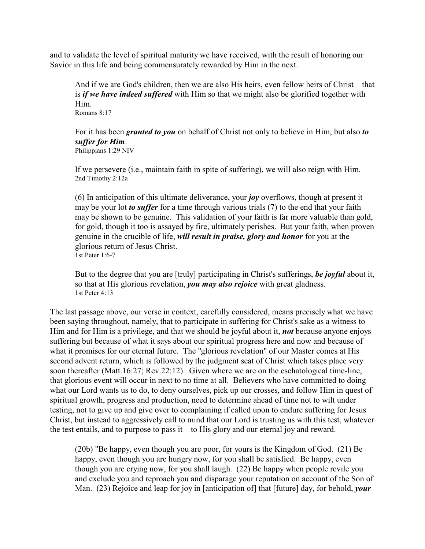and to validate the level of spiritual maturity we have received, with the result of honoring our Savior in this life and being commensurately rewarded by Him in the next.

And if we are God's children, then we are also His heirs, even fellow heirs of Christ – that is *if we have indeed suffered* with Him so that we might also be glorified together with Him. Romans 8:17

For it has been *granted to you* on behalf of Christ not only to believe in Him, but also *to suffer for Him*. Philippians 1:29 NIV

If we persevere (i.e., maintain faith in spite of suffering), we will also reign with Him. 2nd Timothy 2:12a

(6) In anticipation of this ultimate deliverance, your *joy* overflows, though at present it may be your lot *to suffer* for a time through various trials (7) to the end that your faith may be shown to be genuine. This validation of your faith is far more valuable than gold, for gold, though it too is assayed by fire, ultimately perishes. But your faith, when proven genuine in the crucible of life, *will result in praise, glory and honor* for you at the glorious return of Jesus Christ. 1st Peter 1:6-7

But to the degree that you are [truly] participating in Christ's sufferings, *be joyful* about it, so that at His glorious revelation, *you may also rejoice* with great gladness. 1st Peter 4:13

The last passage above, our verse in context, carefully considered, means precisely what we have been saying throughout, namely, that to participate in suffering for Christ's sake as a witness to Him and for Him is a privilege, and that we should be joyful about it, *not* because anyone enjoys suffering but because of what it says about our spiritual progress here and now and because of what it promises for our eternal future. The "glorious revelation" of our Master comes at His second advent return, which is followed by the judgment seat of Christ which takes place very soon thereafter (Matt.16:27; Rev.22:12). Given where we are on the eschatological time-line, that glorious event will occur in next to no time at all. Believers who have committed to doing what our Lord wants us to do, to deny ourselves, pick up our crosses, and follow Him in quest of spiritual growth, progress and production, need to determine ahead of time not to wilt under testing, not to give up and give over to complaining if called upon to endure suffering for Jesus Christ, but instead to aggressively call to mind that our Lord is trusting us with this test, whatever the test entails, and to purpose to pass it – to His glory and our eternal joy and reward.

(20b) "Be happy, even though you are poor, for yours is the Kingdom of God. (21) Be happy, even though you are hungry now, for you shall be satisfied. Be happy, even though you are crying now, for you shall laugh. (22) Be happy when people revile you and exclude you and reproach you and disparage your reputation on account of the Son of Man. (23) Rejoice and leap for joy in [anticipation of] that [future] day, for behold, *your*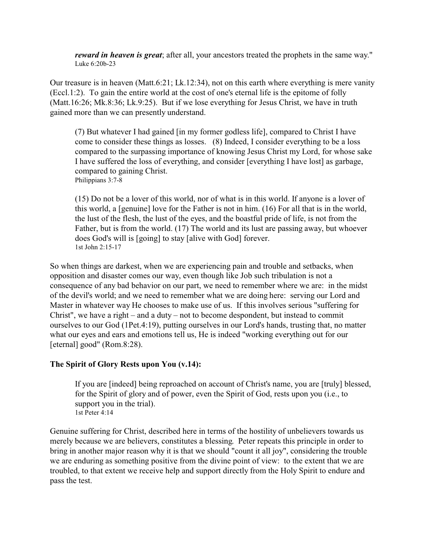*reward in heaven is great*; after all, your ancestors treated the prophets in the same way." Luke 6:20b-23

Our treasure is in heaven (Matt.6:21; Lk.12:34), not on this earth where everything is mere vanity (Eccl.1:2). To gain the entire world at the cost of one's eternal life is the epitome of folly (Matt.16:26; Mk.8:36; Lk.9:25). But if we lose everything for Jesus Christ, we have in truth gained more than we can presently understand.

(7) But whatever I had gained [in my former godless life], compared to Christ I have come to consider these things as losses. (8) Indeed, I consider everything to be a loss compared to the surpassing importance of knowing Jesus Christ my Lord, for whose sake I have suffered the loss of everything, and consider [everything I have lost] as garbage, compared to gaining Christ. Philippians 3:7-8

(15) Do not be a lover of this world, nor of what is in this world. If anyone is a lover of this world, a [genuine] love for the Father is not in him. (16) For all that is in the world, the lust of the flesh, the lust of the eyes, and the boastful pride of life, is not from the Father, but is from the world. (17) The world and its lust are passing away, but whoever does God's will is [going] to stay [alive with God] forever. 1st John 2:15-17

So when things are darkest, when we are experiencing pain and trouble and setbacks, when opposition and disaster comes our way, even though like Job such tribulation is not a consequence of any bad behavior on our part, we need to remember where we are: in the midst of the devil's world; and we need to remember what we are doing here: serving our Lord and Master in whatever way He chooses to make use of us. If this involves serious "suffering for Christ", we have a right – and a duty – not to become despondent, but instead to commit ourselves to our God (1Pet.4:19), putting ourselves in our Lord's hands, trusting that, no matter what our eyes and ears and emotions tell us, He is indeed "working everything out for our [eternal] good" (Rom.8:28).

### **The Spirit of Glory Rests upon You (v.14):**

If you are [indeed] being reproached on account of Christ's name, you are [truly] blessed, for the Spirit of glory and of power, even the Spirit of God, rests upon you (i.e., to support you in the trial). 1st Peter 4:14

Genuine suffering for Christ, described here in terms of the hostility of unbelievers towards us merely because we are believers, constitutes a blessing. Peter repeats this principle in order to bring in another major reason why it is that we should "count it all joy", considering the trouble we are enduring as something positive from the divine point of view: to the extent that we are troubled, to that extent we receive help and support directly from the Holy Spirit to endure and pass the test.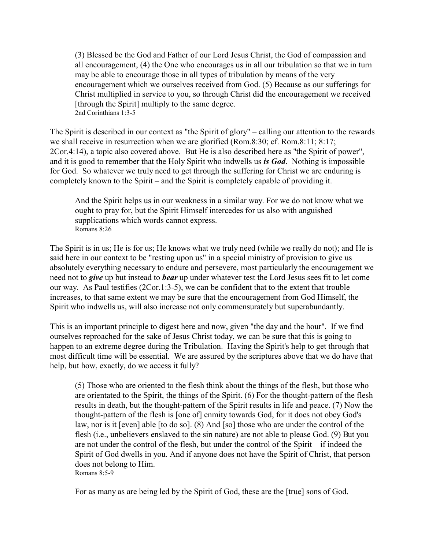(3) Blessed be the God and Father of our Lord Jesus Christ, the God of compassion and all encouragement, (4) the One who encourages us in all our tribulation so that we in turn may be able to encourage those in all types of tribulation by means of the very encouragement which we ourselves received from God. (5) Because as our sufferings for Christ multiplied in service to you, so through Christ did the encouragement we received [through the Spirit] multiply to the same degree. 2nd Corinthians 1:3-5

The Spirit is described in our context as "the Spirit of glory" – calling our attention to the rewards we shall receive in resurrection when we are glorified (Rom.8:30; cf. Rom.8:11; 8:17; 2Cor.4:14), a topic also covered above. But He is also described here as "the Spirit of power", and it is good to remember that the Holy Spirit who indwells us *is God*. Nothing is impossible for God. So whatever we truly need to get through the suffering for Christ we are enduring is completely known to the Spirit – and the Spirit is completely capable of providing it.

And the Spirit helps us in our weakness in a similar way. For we do not know what we ought to pray for, but the Spirit Himself intercedes for us also with anguished supplications which words cannot express. Romans 8:26

The Spirit is in us; He is for us; He knows what we truly need (while we really do not); and He is said here in our context to be "resting upon us" in a special ministry of provision to give us absolutely everything necessary to endure and persevere, most particularly the encouragement we need not to *give* up but instead to *bear* up under whatever test the Lord Jesus sees fit to let come our way. As Paul testifies (2Cor.1:3-5), we can be confident that to the extent that trouble increases, to that same extent we may be sure that the encouragement from God Himself, the Spirit who indwells us, will also increase not only commensurately but superabundantly.

This is an important principle to digest here and now, given "the day and the hour". If we find ourselves reproached for the sake of Jesus Christ today, we can be sure that this is going to happen to an extreme degree during the Tribulation. Having the Spirit's help to get through that most difficult time will be essential. We are assured by the scriptures above that we do have that help, but how, exactly, do we access it fully?

(5) Those who are oriented to the flesh think about the things of the flesh, but those who are orientated to the Spirit, the things of the Spirit. (6) For the thought-pattern of the flesh results in death, but the thought-pattern of the Spirit results in life and peace. (7) Now the thought-pattern of the flesh is [one of] enmity towards God, for it does not obey God's law, nor is it [even] able [to do so]. (8) And [so] those who are under the control of the flesh (i.e., unbelievers enslaved to the sin nature) are not able to please God. (9) But you are not under the control of the flesh, but under the control of the Spirit – if indeed the Spirit of God dwells in you. And if anyone does not have the Spirit of Christ, that person does not belong to Him. Romans 8:5-9

For as many as are being led by the Spirit of God, these are the [true] sons of God.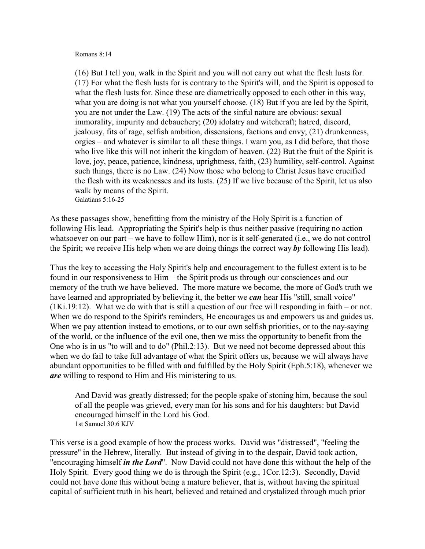#### Romans 8:14

(16) But I tell you, walk in the Spirit and you will not carry out what the flesh lusts for. (17) For what the flesh lusts for is contrary to the Spirit's will, and the Spirit is opposed to what the flesh lusts for. Since these are diametrically opposed to each other in this way, what you are doing is not what you yourself choose. (18) But if you are led by the Spirit, you are not under the Law. (19) The acts of the sinful nature are obvious: sexual immorality, impurity and debauchery; (20) idolatry and witchcraft; hatred, discord, jealousy, fits of rage, selfish ambition, dissensions, factions and envy; (21) drunkenness, orgies – and whatever is similar to all these things. I warn you, as I did before, that those who live like this will not inherit the kingdom of heaven. (22) But the fruit of the Spirit is love, joy, peace, patience, kindness, uprightness, faith, (23) humility, self-control. Against such things, there is no Law. (24) Now those who belong to Christ Jesus have crucified the flesh with its weaknesses and its lusts. (25) If we live because of the Spirit, let us also walk by means of the Spirit. Galatians 5:16-25

As these passages show, benefitting from the ministry of the Holy Spirit is a function of following His lead. Appropriating the Spirit's help is thus neither passive (requiring no action whatsoever on our part – we have to follow Him), nor is it self-generated (i.e., we do not control the Spirit; we receive His help when we are doing things the correct way *by* following His lead).

Thus the key to accessing the Holy Spirit's help and encouragement to the fullest extent is to be found in our responsiveness to Him – the Spirit prods us through our consciences and our memory of the truth we have believed. The more mature we become, the more of God's truth we have learned and appropriated by believing it, the better we *can* hear His "still, small voice" (1Ki.19:12). What we do with that is still a question of our free will responding in faith – or not. When we do respond to the Spirit's reminders, He encourages us and empowers us and guides us. When we pay attention instead to emotions, or to our own selfish priorities, or to the nay-saying of the world, or the influence of the evil one, then we miss the opportunity to benefit from the One who is in us "to will and to do" (Phil.2:13). But we need not become depressed about this when we do fail to take full advantage of what the Spirit offers us, because we will always have abundant opportunities to be filled with and fulfilled by the Holy Spirit (Eph.5:18), whenever we *are* willing to respond to Him and His ministering to us.

And David was greatly distressed; for the people spake of stoning him, because the soul of all the people was grieved, every man for his sons and for his daughters: but David encouraged himself in the Lord his God. 1st Samuel 30:6 KJV

This verse is a good example of how the process works. David was "distressed", "feeling the pressure" in the Hebrew, literally. But instead of giving in to the despair, David took action, "encouraging himself *in the Lord*". Now David could not have done this without the help of the Holy Spirit. Every good thing we do is through the Spirit (e.g., 1Cor.12:3). Secondly, David could not have done this without being a mature believer, that is, without having the spiritual capital of sufficient truth in his heart, believed and retained and crystalized through much prior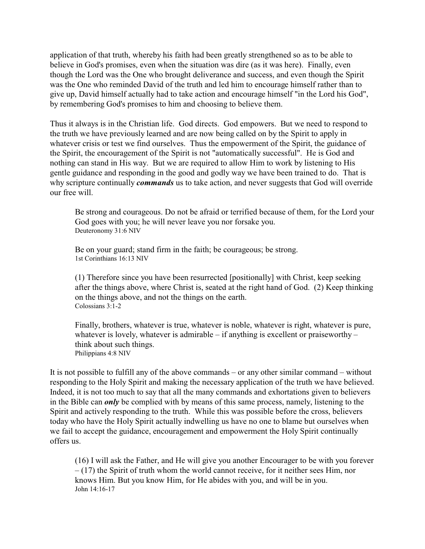application of that truth, whereby his faith had been greatly strengthened so as to be able to believe in God's promises, even when the situation was dire (as it was here). Finally, even though the Lord was the One who brought deliverance and success, and even though the Spirit was the One who reminded David of the truth and led him to encourage himself rather than to give up, David himself actually had to take action and encourage himself "in the Lord his God", by remembering God's promises to him and choosing to believe them.

Thus it always is in the Christian life. God directs. God empowers. But we need to respond to the truth we have previously learned and are now being called on by the Spirit to apply in whatever crisis or test we find ourselves. Thus the empowerment of the Spirit, the guidance of the Spirit, the encouragement of the Spirit is not "automatically successful". He is God and nothing can stand in His way. But we are required to allow Him to work by listening to His gentle guidance and responding in the good and godly way we have been trained to do. That is why scripture continually *commands* us to take action, and never suggests that God will override our free will.

Be strong and courageous. Do not be afraid or terrified because of them, for the Lord your God goes with you; he will never leave you nor forsake you. Deuteronomy 31:6 NIV

Be on your guard; stand firm in the faith; be courageous; be strong. 1st Corinthians 16:13 NIV

(1) Therefore since you have been resurrected [positionally] with Christ, keep seeking after the things above, where Christ is, seated at the right hand of God. (2) Keep thinking on the things above, and not the things on the earth. Colossians 3:1-2

Finally, brothers, whatever is true, whatever is noble, whatever is right, whatever is pure, whatever is lovely, whatever is admirable – if anything is excellent or praiseworthy – think about such things. Philippians 4:8 NIV

It is not possible to fulfill any of the above commands – or any other similar command – without responding to the Holy Spirit and making the necessary application of the truth we have believed. Indeed, it is not too much to say that all the many commands and exhortations given to believers in the Bible can *only* be complied with by means of this same process, namely, listening to the Spirit and actively responding to the truth. While this was possible before the cross, believers today who have the Holy Spirit actually indwelling us have no one to blame but ourselves when we fail to accept the guidance, encouragement and empowerment the Holy Spirit continually offers us.

(16) I will ask the Father, and He will give you another Encourager to be with you forever  $-$  (17) the Spirit of truth whom the world cannot receive, for it neither sees Him, nor knows Him. But you know Him, for He abides with you, and will be in you. John 14:16-17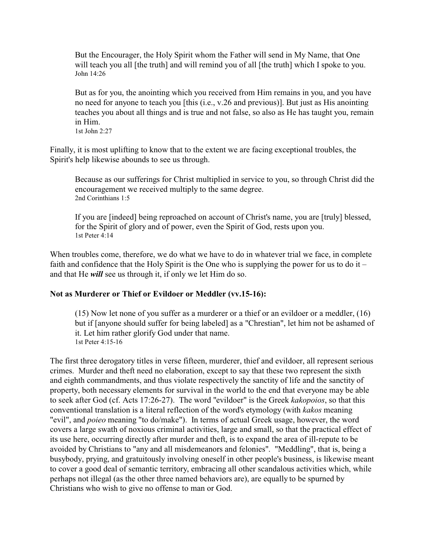But the Encourager, the Holy Spirit whom the Father will send in My Name, that One will teach you all [the truth] and will remind you of all [the truth] which I spoke to you. John 14:26

But as for you, the anointing which you received from Him remains in you, and you have no need for anyone to teach you [this (i.e., v.26 and previous)]. But just as His anointing teaches you about all things and is true and not false, so also as He has taught you, remain in Him. 1st John 2:27

Finally, it is most uplifting to know that to the extent we are facing exceptional troubles, the Spirit's help likewise abounds to see us through.

Because as our sufferings for Christ multiplied in service to you, so through Christ did the encouragement we received multiply to the same degree. 2nd Corinthians 1:5

If you are [indeed] being reproached on account of Christ's name, you are [truly] blessed, for the Spirit of glory and of power, even the Spirit of God, rests upon you. 1st Peter 4:14

When troubles come, therefore, we do what we have to do in whatever trial we face, in complete faith and confidence that the Holy Spirit is the One who is supplying the power for us to do it – and that He *will* see us through it, if only we let Him do so.

### **Not as Murderer or Thief or Evildoer or Meddler (vv.15-16):**

(15) Now let none of you suffer as a murderer or a thief or an evildoer or a meddler, (16) but if [anyone should suffer for being labeled] as a "Chrestian", let him not be ashamed of it. Let him rather glorify God under that name. 1st Peter 4:15-16

The first three derogatory titles in verse fifteen, murderer, thief and evildoer, all represent serious crimes. Murder and theft need no elaboration, except to say that these two represent the sixth and eighth commandments, and thus violate respectively the sanctity of life and the sanctity of property, both necessary elements for survival in the world to the end that everyone may be able to seek after God (cf. Acts 17:26-27). The word "evildoer" is the Greek *kakopoios*, so that this conventional translation is a literal reflection of the word's etymology (with *kakos* meaning "evil", and *poieo* meaning "to do/make"). In terms of actual Greek usage, however, the word covers a large swath of noxious criminal activities, large and small, so that the practical effect of its use here, occurring directly after murder and theft, is to expand the area of ill-repute to be avoided by Christians to "any and all misdemeanors and felonies". "Meddling", that is, being a busybody, prying, and gratuitously involving oneself in other people's business, is likewise meant to cover a good deal of semantic territory, embracing all other scandalous activities which, while perhaps not illegal (as the other three named behaviors are), are equally to be spurned by Christians who wish to give no offense to man or God.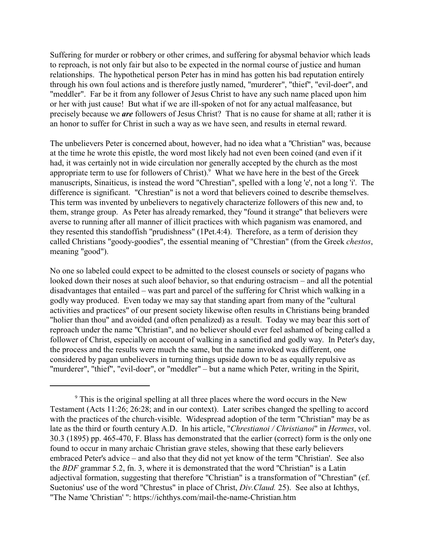Suffering for murder or robbery or other crimes, and suffering for abysmal behavior which leads to reproach, is not only fair but also to be expected in the normal course of justice and human relationships. The hypothetical person Peter has in mind has gotten his bad reputation entirely through his own foul actions and is therefore justly named, "murderer", "thief", "evil-doer", and "meddler". Far be it from any follower of Jesus Christ to have any such name placed upon him or her with just cause! But what if we are ill-spoken of not for any actual malfeasance, but precisely because we *are* followers of Jesus Christ? That is no cause for shame at all; rather it is an honor to suffer for Christ in such a way as we have seen, and results in eternal reward.

The unbelievers Peter is concerned about, however, had no idea what a "Christian" was, because at the time he wrote this epistle, the word most likely had not even been coined (and even if it had, it was certainly not in wide circulation nor generally accepted by the church as the most appropriate term to use for followers of Christ). $9$  What we have here in the best of the Greek manuscripts, Sinaiticus, is instead the word "Chrestian", spelled with a long 'e', not a long 'i'. The difference is significant. "Chrestian" is not a word that believers coined to describe themselves. This term was invented by unbelievers to negatively characterize followers of this new and, to them, strange group. As Peter has already remarked, they "found it strange" that believers were averse to running after all manner of illicit practices with which paganism was enamored, and they resented this standoffish "prudishness" (1Pet.4:4). Therefore, as a term of derision they called Christians "goody-goodies", the essential meaning of "Chrestian" (from the Greek *chestos*, meaning "good").

No one so labeled could expect to be admitted to the closest counsels or society of pagans who looked down their noses at such aloof behavior, so that enduring ostracism – and all the potential disadvantages that entailed – was part and parcel of the suffering for Christ which walking in a godly way produced. Even today we may say that standing apart from many of the "cultural activities and practices" of our present society likewise often results in Christians being branded "holier than thou" and avoided (and often penalized) as a result. Today we may bear this sort of reproach under the name "Christian", and no believer should ever feel ashamed of being called a follower of Christ, especially on account of walking in a sanctified and godly way. In Peter's day, the process and the results were much the same, but the name invoked was different, one considered by pagan unbelievers in turning things upside down to be as equally repulsive as "murderer", "thief", "evil-doer", or "meddler" – but a name which Peter, writing in the Spirit,

<sup>&</sup>lt;sup>9</sup> This is the original spelling at all three places where the word occurs in the New Testament (Acts 11:26; 26:28; and in our context). Later scribes changed the spelling to accord with the practices of the church-visible. Widespread adoption of the term "Christian" may be as late as the third or fourth century A.D. In his article, "*Chrestianoi / Christianoi*" in *Hermes*, vol. 30.3 (1895) pp. 465-470, F. Blass has demonstrated that the earlier (correct) form is the only one found to occur in many archaic Christian grave steles, showing that these early believers embraced Peter's advice – and also that they did not yet know of the term "Christian'. See also the *BDF* grammar 5.2, fn. 3, where it is demonstrated that the word "Christian" is a Latin adjectival formation, suggesting that therefore "Christian" is a transformation of "Chrestian" (cf. Suetonius' use of the word "Chrestus" in place of Christ, *Div.Claud.* 25). See also at Ichthys, "The Name 'Christian' ": https://ichthys.com/mail-the-name-Christian.htm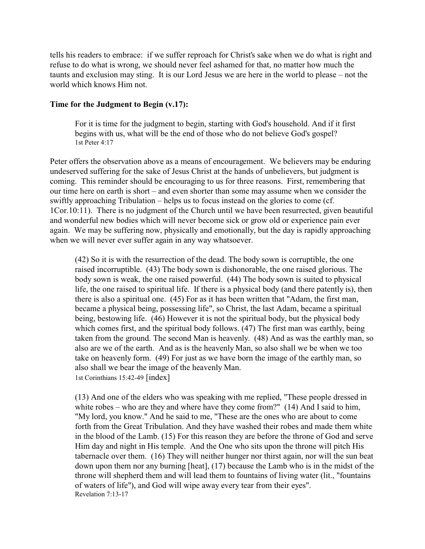tells his readers to embrace: if we suffer reproach for Christ's sake when we do what is right and refuse to do what is wrong, we should never feel ashamed for that, no matter how much the taunts and exclusion may sting. It is our Lord Jesus we are here in the world to please – not the world which knows Him not.

#### **Time for the Judgment to Begin (v.17):**

For it is time for the judgment to begin, starting with God's household. And if it first begins with us, what will be the end of those who do not believe God's gospel? 1st Peter 4:17

Peter offers the observation above as a means of encouragement. We believers may be enduring undeserved suffering for the sake of Jesus Christ at the hands of unbelievers, but judgment is coming. This reminder should be encouraging to us for three reasons. First, remembering that our time here on earth is short – and even shorter than some may assume when we consider the swiftly approaching Tribulation – helps us to focus instead on the glories to come (cf. 1Cor.10:11). There is no judgment of the Church until we have been resurrected, given beautiful and wonderful new bodies which will never become sick or grow old or experience pain ever again. We may be suffering now, physically and emotionally, but the day is rapidly approaching when we will never ever suffer again in any way whatsoever.

(42) So it is with the resurrection of the dead. The body sown is corruptible, the one raised incorruptible. (43) The body sown is dishonorable, the one raised glorious. The body sown is weak, the one raised powerful. (44) The body sown is suited to physical life, the one raised to spiritual life. If there is a physical body (and there patently is), then there is also a spiritual one. (45) For as it has been written that "Adam, the first man, became a physical being, possessing life", so Christ, the last Adam, became a spiritual being, bestowing life. (46) However it is not the spiritual body, but the physical body which comes first, and the spiritual body follows. (47) The first man was earthly, being taken from the ground. The second Man is heavenly. (48) And as was the earthly man, so also are we of the earth. And as is the heavenly Man, so also shall we be when we too take on heavenly form. (49) For just as we have born the image of the earthly man, so also shall we bear the image of the heavenly Man. 1st Corinthians 15:42-49 [index]

(13) And one of the elders who was speaking with me replied, "These people dressed in white robes – who are they and where have they come from?" (14) And I said to him, "My lord, you know." And he said to me, "These are the ones who are about to come forth from the Great Tribulation. And they have washed their robes and made them white in the blood of the Lamb. (15) For this reason they are before the throne of God and serve Him day and night in His temple. And the One who sits upon the throne will pitch His tabernacle over them. (16) They will neither hunger nor thirst again, nor will the sun beat down upon them nor any burning [heat], (17) because the Lamb who is in the midst of the throne will shepherd them and will lead them to fountains of living water (lit., "fountains of waters of life"), and God will wipe away every tear from their eyes". Revelation 7:13-17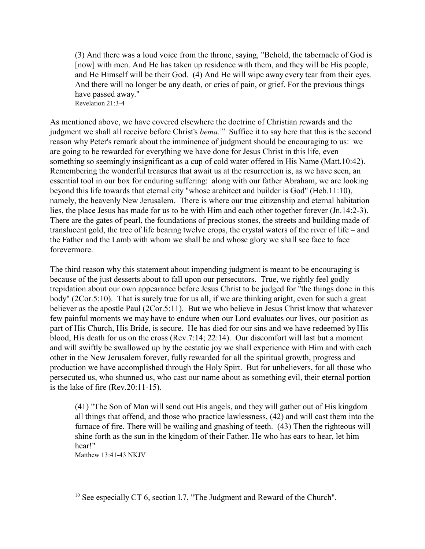(3) And there was a loud voice from the throne, saying, "Behold, the tabernacle of God is [now] with men. And He has taken up residence with them, and they will be His people, and He Himself will be their God. (4) And He will wipe away every tear from their eyes. And there will no longer be any death, or cries of pain, or grief. For the previous things have passed away." Revelation 21:3-4

As mentioned above, we have covered elsewhere the doctrine of Christian rewards and the judgment we shall all receive before Christ's *bema*. 10 Suffice it to say here that this is the second reason why Peter's remark about the imminence of judgment should be encouraging to us: we are going to be rewarded for everything we have done for Jesus Christ in this life, even something so seemingly insignificant as a cup of cold water offered in His Name (Matt.10:42). Remembering the wonderful treasures that await us at the resurrection is, as we have seen, an essential tool in our box for enduring suffering: along with our father Abraham, we are looking beyond this life towards that eternal city "whose architect and builder is God" (Heb.11:10), namely, the heavenly New Jerusalem. There is where our true citizenship and eternal habitation lies, the place Jesus has made for us to be with Him and each other together forever (Jn.14:2-3). There are the gates of pearl, the foundations of precious stones, the streets and building made of translucent gold, the tree of life bearing twelve crops, the crystal waters of the river of life – and the Father and the Lamb with whom we shall be and whose glory we shall see face to face forevermore.

The third reason why this statement about impending judgment is meant to be encouraging is because of the just desserts about to fall upon our persecutors. True, we rightly feel godly trepidation about our own appearance before Jesus Christ to be judged for "the things done in this body" (2Cor.5:10). That is surely true for us all, if we are thinking aright, even for such a great believer as the apostle Paul (2Cor.5:11). But we who believe in Jesus Christ know that whatever few painful moments we may have to endure when our Lord evaluates our lives, our position as part of His Church, His Bride, is secure. He has died for our sins and we have redeemed by His blood, His death for us on the cross (Rev.7:14; 22:14). Our discomfort will last but a moment and will swiftly be swallowed up by the ecstatic joy we shall experience with Him and with each other in the New Jerusalem forever, fully rewarded for all the spiritual growth, progress and production we have accomplished through the Holy Spirt. But for unbelievers, for all those who persecuted us, who shunned us, who cast our name about as something evil, their eternal portion is the lake of fire (Rev.20:11-15).

(41) "The Son of Man will send out His angels, and they will gather out of His kingdom all things that offend, and those who practice lawlessness, (42) and will cast them into the furnace of fire. There will be wailing and gnashing of teeth. (43) Then the righteous will shine forth as the sun in the kingdom of their Father. He who has ears to hear, let him hear!"

Matthew 13:41-43 NKJV

<sup>&</sup>lt;sup>10</sup> See especially CT 6, section I.7, "The Judgment and Reward of the Church".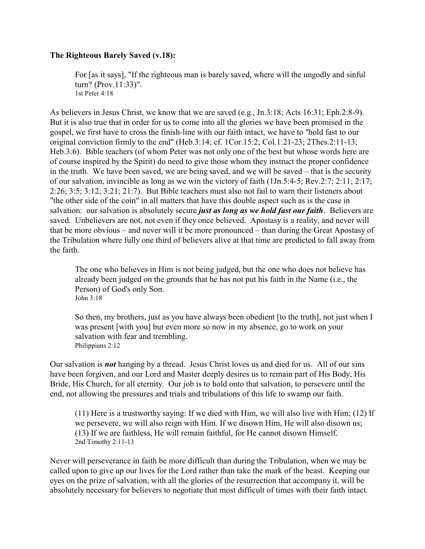### **The Righteous Barely Saved (v.18):**

For [as it says], "If the righteous man is barely saved, where will the ungodly and sinful turn? (Prov.11:33)". 1st Peter 4:18

As believers in Jesus Christ, we know that we are saved (e.g., Jn.3:18; Acts 16:31; Eph.2:8-9). But it is also true that in order for us to come into all the glories we have been promised in the gospel, we first have to cross the finish-line with our faith intact, we have to "hold fast to our original conviction firmly to the end" (Heb.3:14; cf. 1Cor.15:2; Col.1:21-23; 2Thes.2:11-13; Heb.3:6). Bible teachers (of whom Peter was not only one of the best but whose words here are of course inspired by the Spirit) do need to give those whom they instruct the proper confidence in the truth. We have been saved, we are being saved, and we will be saved – that is the security of our salvation, invincible as long as we win the victory of faith (1Jn.5:4-5; Rev.2:7; 2:11; 2:17; 2:26; 3:5; 3:12; 3:21; 21:7). But Bible teachers must also not fail to warn their listeners about "the other side of the coin" in all matters that have this double aspect such as is the case in salvation: our salvation is absolutely secure *just as long as we hold fast our faith*. Believers are saved. Unbelievers are not, not even if they once believed. Apostasy is a reality, and never will that be more obvious – and never will it be more pronounced – than during the Great Apostasy of the Tribulation where fully one third of believers alive at that time are predicted to fall away from the faith.

The one who believes in Him is not being judged, but the one who does not believe has already been judged on the grounds that he has not put his faith in the Name (i.e., the Person) of God's only Son. John 3:18

So then, my brothers, just as you have always been obedient [to the truth], not just when I was present [with you] but even more so now in my absence, go to work on your salvation with fear and trembling. Philippians 2:12

Our salvation is *not* hanging by a thread. Jesus Christ loves us and died for us. All of our sins have been forgiven, and our Lord and Master deeply desires us to remain part of His Body, His Bride, His Church, for all eternity. Our job is to hold onto that salvation, to persevere until the end, not allowing the pressures and trials and tribulations of this life to swamp our faith.

(11) Here is a trustworthy saying: If we died with Him, we will also live with Him; (12) If we persevere, we will also reign with Him. If we disown Him, He will also disown us; (13) If we are faithless, He will remain faithful, for He cannot disown Himself. 2nd Timothy 2:11-13

Never will perseverance in faith be more difficult than during the Tribulation, when we may be called upon to give up our lives for the Lord rather than take the mark of the beast. Keeping our eyes on the prize of salvation, with all the glories of the resurrection that accompany it, will be absolutely necessary for believers to negotiate that most difficult of times with their faith intact.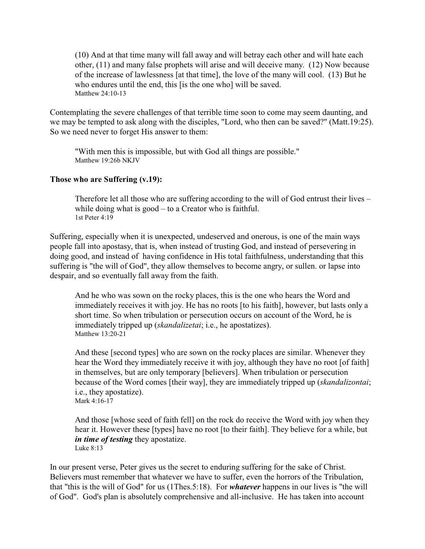(10) And at that time many will fall away and will betray each other and will hate each other, (11) and many false prophets will arise and will deceive many. (12) Now because of the increase of lawlessness [at that time], the love of the many will cool. (13) But he who endures until the end, this [is the one who] will be saved. Matthew 24:10-13

Contemplating the severe challenges of that terrible time soon to come may seem daunting, and we may be tempted to ask along with the disciples, "Lord, who then can be saved?" (Matt.19:25). So we need never to forget His answer to them:

"With men this is impossible, but with God all things are possible." Matthew 19:26b NKJV

### **Those who are Suffering (v.19):**

Therefore let all those who are suffering according to the will of God entrust their lives – while doing what is good – to a Creator who is faithful. 1st Peter 4:19

Suffering, especially when it is unexpected, undeserved and onerous, is one of the main ways people fall into apostasy, that is, when instead of trusting God, and instead of persevering in doing good, and instead of having confidence in His total faithfulness, understanding that this suffering is "the will of God", they allow themselves to become angry, or sullen. or lapse into despair, and so eventually fall away from the faith.

And he who was sown on the rocky places, this is the one who hears the Word and immediately receives it with joy. He has no roots [to his faith], however, but lasts only a short time. So when tribulation or persecution occurs on account of the Word, he is immediately tripped up (*skandalizetai*; i.e., he apostatizes). Matthew  $13:20-21$ 

And these [second types] who are sown on the rocky places are similar. Whenever they hear the Word they immediately receive it with joy, although they have no root [of faith] in themselves, but are only temporary [believers]. When tribulation or persecution because of the Word comes [their way], they are immediately tripped up (*skandalizontai*; i.e., they apostatize). Mark 4:16-17

And those [whose seed of faith fell] on the rock do receive the Word with joy when they hear it. However these [types] have no root [to their faith]. They believe for a while, but *in time of testing* they apostatize. Luke 8:13

In our present verse, Peter gives us the secret to enduring suffering for the sake of Christ. Believers must remember that whatever we have to suffer, even the horrors of the Tribulation, that "this is the will of God" for us (1Thes.5:18). For *whatever* happens in our lives is "the will of God". God's plan is absolutely comprehensive and all-inclusive. He has taken into account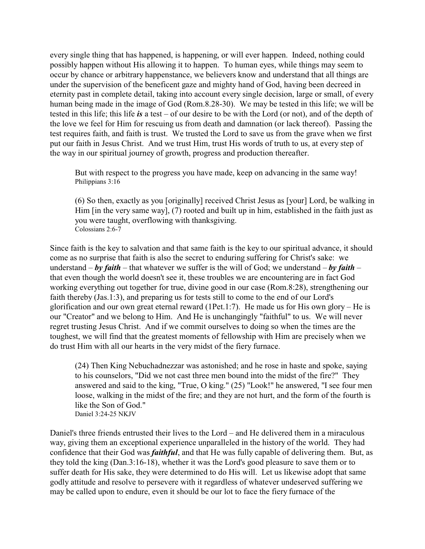every single thing that has happened, is happening, or will ever happen. Indeed, nothing could possibly happen without His allowing it to happen. To human eyes, while things may seem to occur by chance or arbitrary happenstance, we believers know and understand that all things are under the supervision of the beneficent gaze and mighty hand of God, having been decreed in eternity past in complete detail, taking into account every single decision, large or small, of every human being made in the image of God (Rom.8.28-30). We may be tested in this life; we will be tested in this life; this life *is* a test – of our desire to be with the Lord (or not), and of the depth of the love we feel for Him for rescuing us from death and damnation (or lack thereof). Passing the test requires faith, and faith is trust. We trusted the Lord to save us from the grave when we first put our faith in Jesus Christ. And we trust Him, trust His words of truth to us, at every step of the way in our spiritual journey of growth, progress and production thereafter.

But with respect to the progress you have made, keep on advancing in the same way! Philippians 3:16

(6) So then, exactly as you [originally] received Christ Jesus as [your] Lord, be walking in Him [in the very same way], (7) rooted and built up in him, established in the faith just as you were taught, overflowing with thanksgiving. Colossians 2:6-7

Since faith is the key to salvation and that same faith is the key to our spiritual advance, it should come as no surprise that faith is also the secret to enduring suffering for Christ's sake: we understand – *by faith* – that whatever we suffer is the will of God; we understand – *by faith* – that even though the world doesn't see it, these troubles we are encountering are in fact God working everything out together for true, divine good in our case (Rom.8:28), strengthening our faith thereby (Jas.1:3), and preparing us for tests still to come to the end of our Lord's glorification and our own great eternal reward (1Pet.1:7). He made us for His own glory – He is our "Creator" and we belong to Him. And He is unchangingly "faithful" to us. We will never regret trusting Jesus Christ. And if we commit ourselves to doing so when the times are the toughest, we will find that the greatest moments of fellowship with Him are precisely when we do trust Him with all our hearts in the very midst of the fiery furnace.

(24) Then King Nebuchadnezzar was astonished; and he rose in haste and spoke, saying to his counselors, "Did we not cast three men bound into the midst of the fire?" They answered and said to the king, "True, O king." (25) "Look!" he answered, "I see four men loose, walking in the midst of the fire; and they are not hurt, and the form of the fourth is like the Son of God." Daniel 3:24-25 NKJV

Daniel's three friends entrusted their lives to the Lord – and He delivered them in a miraculous way, giving them an exceptional experience unparalleled in the history of the world. They had confidence that their God was *faithful*, and that He was fully capable of delivering them. But, as they told the king (Dan.3:16-18), whether it was the Lord's good pleasure to save them or to suffer death for His sake, they were determined to do His will. Let us likewise adopt that same godly attitude and resolve to persevere with it regardless of whatever undeserved suffering we may be called upon to endure, even it should be our lot to face the fiery furnace of the